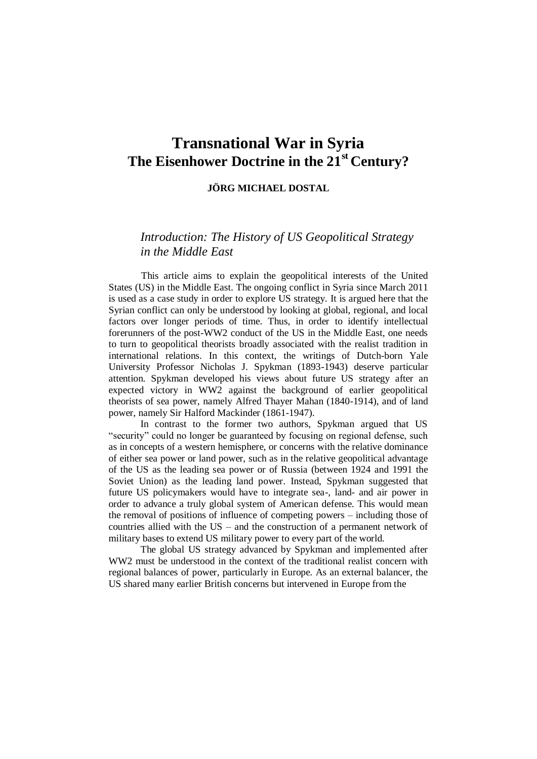# **Transnational War in Syria The Eisenhower Doctrine in the 21st Century?**

### **JÖ RG MICHAEL DOSTAL**

## *Introduction: The History of US Geopolitical Strategy in the Middle East*

This article aims to explain the geopolitical interests of the United States (US) in the Middle East. The ongoing conflict in Syria since March 2011 is used as a case study in order to explore US strategy. It is argued here that the Syrian conflict can only be understood by looking at global, regional, and local factors over longer periods of time. Thus, in order to identify intellectual forerunners of the post-WW2 conduct of the US in the Middle East, one needs to turn to geopolitical theorists broadly associated with the realist tradition in international relations. In this context, the writings of Dutch-born Yale University Professor Nicholas J. Spykman (1893-1943) deserve particular attention. Spykman developed his views about future US strategy after an expected victory in WW2 against the background of earlier geopolitical theorists of sea power, namely Alfred Thayer Mahan (1840-1914), and of land power, namely Sir Halford Mackinder (1861-1947).

In contrast to the former two authors, Spykman argued that US "security" could no longer be guaranteed by focusing on regional defense, such as in concepts of a western hemisphere, or concerns with the relative dominance of either sea power or land power, such as in the relative geopolitical advantage of the US as the leading sea power or of Russia (between 1924 and 1991 the Soviet Union) as the leading land power. Instead, Spykman suggested that future US policymakers would have to integrate sea-, land- and air power in order to advance a truly global system of American defense. This would mean the removal of positions of influence of competing powers – including those of countries allied with the US – and the construction of a permanent network of military bases to extend US military power to every part of the world.

The global US strategy advanced by Spykman and implemented after WW2 must be understood in the context of the traditional realist concern with regional balances of power, particularly in Europe. As an external balancer, the US shared many earlier British concerns but intervened in Europe from the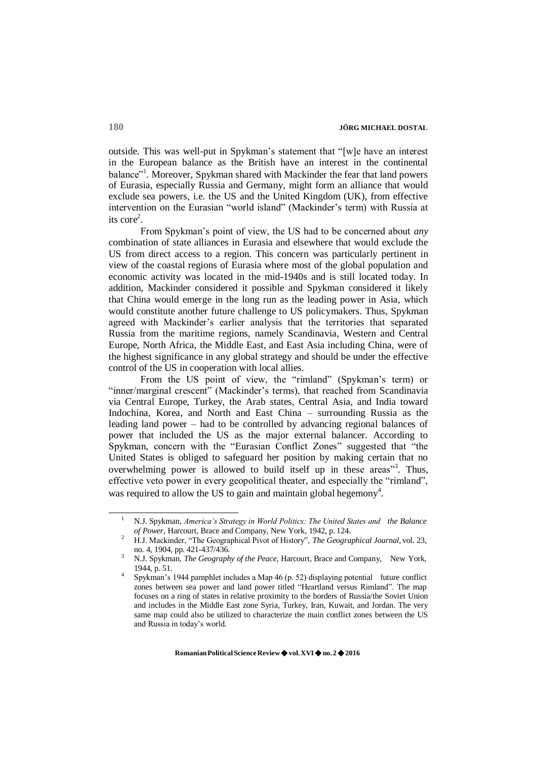outside. This was well-put in Spykman's statement that "[w]e have an interest in the European balance as the British have an interest in the continental balance"<sup>1</sup>. Moreover, Spykman shared with Mackinder the fear that land powers of Eurasia, especially Russia and Germany, might form an alliance that would exclude sea powers, i.e. the US and the United Kingdom (UK), from effective intervention on the Eurasian "world island" (Mackinder's term) with Russia at its  $\text{core}^2$ .

From Spykman's point of view, the US had to be concerned about *any*  combination of state alliances in Eurasia and elsewhere that would exclude the US from direct access to a region. This concern was particularly pertinent in view of the coastal regions of Eurasia where most of the global population and economic activity was located in the mid-1940s and is still located today. In addition, Mackinder considered it possible and Spykman considered it likely that China would emerge in the long run as the leading power in Asia, which would constitute another future challenge to US policymakers. Thus, Spykman agreed with Mackinder's earlier analysis that the territories that separated Russia from the maritime regions, namely Scandinavia, Western and Central Europe, North Africa, the Middle East, and East Asia including China, were of the highest significance in any global strategy and should be under the effective control of the US in cooperation with local allies.

From the US point of view, the "rimland" (Spykman's term) or "inner/marginal crescent" (Mackinder's terms), that reached from Scandinavia via Central Europe, Turkey, the Arab states, Central Asia, and India toward Indochina, Korea, and North and East China – surrounding Russia as the leading land power – had to be controlled by advancing regional balances of power that included the US as the major external balancer. According to Spykman, concern with the "Eurasian Conflict Zones" suggested that "the United States is obliged to safeguard her position by making certain that no overwhelming power is allowed to build itself up in these areas<sup>33</sup>. Thus, effective veto power in every geopolitical theater, and especially the "rimland", was required to allow the US to gain and maintain global hegemony<sup>4</sup>.

<sup>1</sup> N.J. Spykman, *America's Strategy in World Politics: The United States and the Balance of Power*, Harcourt, Brace and Company, New York, 1942, p. 124.

<sup>2</sup> H.J. Mackinder, "The Geographical Pivot of History", *The Geographical Journal*, vol. 23, no. 4, 1904, pp. 421-437/436.

<sup>3</sup> N.J. Spykman, *The Geography of the Peace*, Harcourt, Brace and Company, New York, 1944, p. 51.

<sup>4</sup> Spykman's 1944 pamphlet includes a Map 46 (p. 52) displaying potential future conflict zones between sea power and land power titled "Heartland versus Rimland". The map focuses on a ring of states in relative proximity to the borders of Russia/the Soviet Union and includes in the Middle East zone Syria, Turkey, Iran, Kuwait, and Jordan. The very same map could also be utilized to characterize the main conflict zones between the US and Russia in today's world.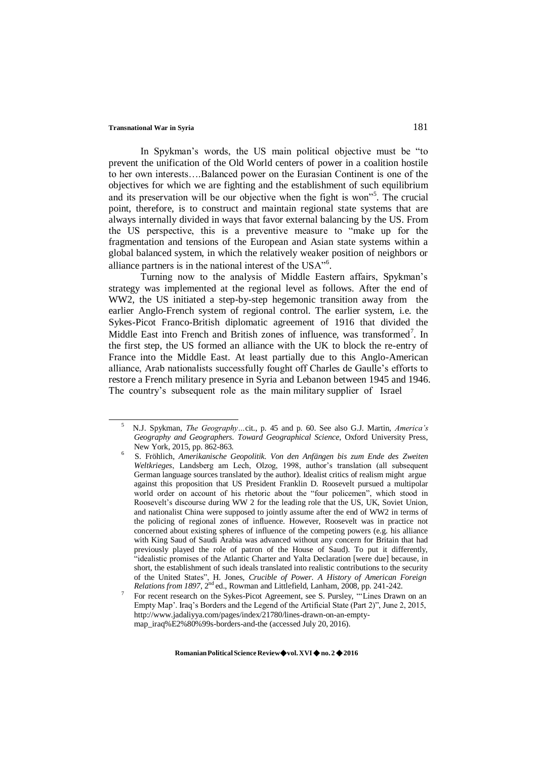In Spykman's words, the US main political objective must be "to prevent the unification of the Old World centers of power in a coalition hostile to her own interests….Balanced power on the Eurasian Continent is one of the objectives for which we are fighting and the establishment of such equilibrium and its preservation will be our objective when the fight is won<sup>35</sup>. The crucial point, therefore, is to construct and maintain regional state systems that are always internally divided in ways that favor external balancing by the US. From the US perspective, this is a preventive measure to "make up for the fragmentation and tensions of the European and Asian state systems within a global balanced system, in which the relatively weaker position of neighbors or alliance partners is in the national interest of the USA"<sup>6</sup>.

Turning now to the analysis of Middle Eastern affairs, Spykman's strategy was implemented at the regional level as follows. After the end of WW2, the US initiated a step-by-step hegemonic transition away from the earlier Anglo-French system of regional control. The earlier system, i.e. the Sykes-Picot Franco-British diplomatic agreement of 1916 that divided the Middle East into French and British zones of influence, was transformed<sup>7</sup>. In the first step, the US formed an alliance with the UK to block the re-entry of France into the Middle East. At least partially due to this Anglo-American alliance, Arab nationalists successfully fought off Charles de Gaulle's efforts to restore a French military presence in Syria and Lebanon between 1945 and 1946. The country's subsequent role as the main military supplier of Israel

<sup>5</sup>N.J. Spykman, *The Geography…*cit., p. 45 and p. 60. See also G.J. Martin, *America's Geography and Geographers. Toward Geographical Science*, Oxford University Press, New York, 2015, pp. 862-863.

<sup>6</sup>S. Fröhlich, *Amerikanische Geopolitik. Von den Anfängen bis zum Ende des Zweiten Weltkrieges*, Landsberg am Lech, Olzog, 1998, author's translation (all subsequent German language sources translated by the author). Idealist critics of realism might argue against this proposition that US President Franklin D. Roosevelt pursued a multipolar world order on account of his rhetoric about the "four policemen", which stood in Roosevelt's discourse during WW 2 for the leading role that the US, UK, Soviet Union, and nationalist China were supposed to jointly assume after the end of WW2 in terms of the policing of regional zones of influence. However, Roosevelt was in practice not concerned about existing spheres of influence of the competing powers (e.g. his alliance with King Saud of Saudi Arabia was advanced without any concern for Britain that had previously played the role of patron of the House of Saud). To put it differently, "idealistic promises of the Atlantic Charter and Yalta Declaration [were due] because, in short, the establishment of such ideals translated into realistic contributions to the security of the United States", H. Jones, *Crucible of Power. A History of American Foreign Relations from 1897*, 2nd ed., Rowman and Littlefield, Lanham, 2008, pp. 241-242.

<sup>7</sup> For recent research on the Sykes-Picot Agreement, see S. Pursley, "'Lines Drawn on an Empty Map'. Iraq's Borders and the Legend of the Artificial State (Part 2)", June 2, 2015, [http://www.jadaliyya.com/pages/index/21780/lines-drawn-on-an-empty](http://www.jadaliyya.com/pages/index/21780/lines-drawn-on-an-empty-)map\_iraq%E2%80%99s-borders-and-the (accessed July 20, 2016).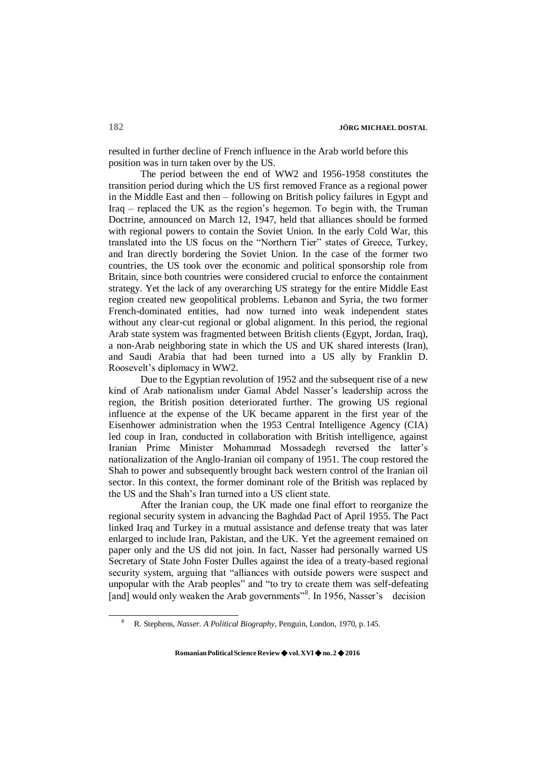resulted in further decline of French influence in the Arab world before this position was in turn taken over by the US.

The period between the end of WW2 and 1956-1958 constitutes the transition period during which the US first removed France as a regional power in the Middle East and then – following on British policy failures in Egypt and Iraq – replaced the UK as the region's hegemon. To begin with, the Truman Doctrine, announced on March 12, 1947, held that alliances should be formed with regional powers to contain the Soviet Union. In the early Cold War, this translated into the US focus on the "Northern Tier" states of Greece, Turkey, and Iran directly bordering the Soviet Union. In the case of the former two countries, the US took over the economic and political sponsorship role from Britain, since both countries were considered crucial to enforce the containment strategy. Yet the lack of any overarching US strategy for the entire Middle East region created new geopolitical problems. Lebanon and Syria, the two former French-dominated entities, had now turned into weak independent states without any clear-cut regional or global alignment. In this period, the regional Arab state system was fragmented between British clients (Egypt, Jordan, Iraq), a non-Arab neighboring state in which the US and UK shared interests (Iran), and Saudi Arabia that had been turned into a US ally by Franklin D. Roosevelt's diplomacy in WW2.

Due to the Egyptian revolution of 1952 and the subsequent rise of a new kind of Arab nationalism under Gamal Abdel Nasser's leadership across the region, the British position deteriorated further. The growing US regional influence at the expense of the UK became apparent in the first year of the Eisenhower administration when the 1953 Central Intelligence Agency (CIA) led coup in Iran, conducted in collaboration with British intelligence, against Iranian Prime Minister Mohammad Mossadegh reversed the latter's nationalization of the Anglo-Iranian oil company of 1951. The coup restored the Shah to power and subsequently brought back western control of the Iranian oil sector. In this context, the former dominant role of the British was replaced by the US and the Shah's Iran turned into a US client state.

After the Iranian coup, the UK made one final effort to reorganize the regional security system in advancing the Baghdad Pact of April 1955. The Pact linked Iraq and Turkey in a mutual assistance and defense treaty that was later enlarged to include Iran, Pakistan, and the UK. Yet the agreement remained on paper only and the US did not join. In fact, Nasser had personally warned US Secretary of State John Foster Dulles against the idea of a treaty-based regional security system, arguing that "alliances with outside powers were suspect and unpopular with the Arab peoples" and "to try to create them was self-defeating [and] would only weaken the Arab governments"<sup>8</sup>. In 1956, Nasser's decision

<sup>8</sup> R. Stephens, *Nasser. A Political Biography*, Penguin, London, 1970, p. 145.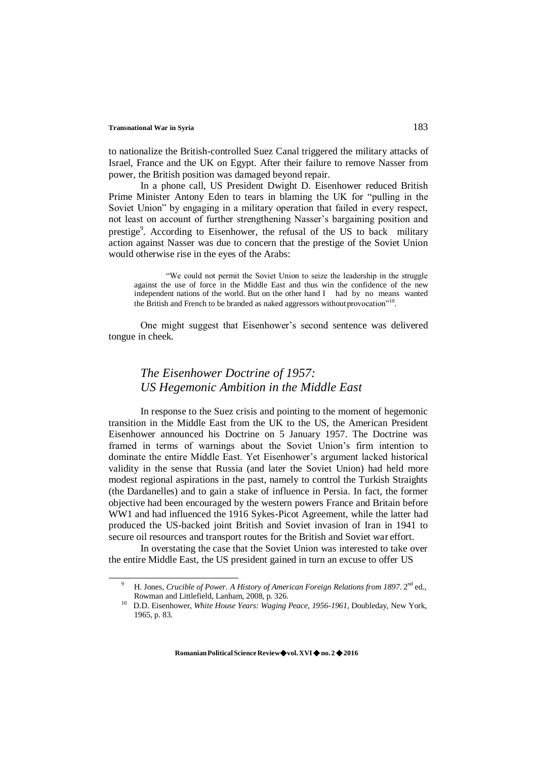to nationalize the British-controlled Suez Canal triggered the military attacks of Israel, France and the UK on Egypt. After their failure to remove Nasser from power, the British position was damaged beyond repair.

In a phone call, US President Dwight D. Eisenhower reduced British Prime Minister Antony Eden to tears in blaming the UK for "pulling in the Soviet Union" by engaging in a military operation that failed in every respect, not least on account of further strengthening Nasser's bargaining position and prestige<sup>9</sup>. According to Eisenhower, the refusal of the US to back military action against Nasser was due to concern that the prestige of the Soviet Union would otherwise rise in the eyes of the Arabs:

"We could not permit the Soviet Union to seize the leadership in the struggle against the use of force in the Middle East and thus win the confidence of the new independent nations of the world. But on the other hand I had by no means wanted the British and French to be branded as naked aggressors without provocation"<sup>10</sup>.

One might suggest that Eisenhower's second sentence was delivered tongue in cheek.

# *The Eisenhower Doctrine of 1957: US Hegemonic Ambition in the Middle East*

In response to the Suez crisis and pointing to the moment of hegemonic transition in the Middle East from the UK to the US, the American President Eisenhower announced his Doctrine on 5 January 1957. The Doctrine was framed in terms of warnings about the Soviet Union's firm intention to dominate the entire Middle East. Yet Eisenhower's argument lacked historical validity in the sense that Russia (and later the Soviet Union) had held more modest regional aspirations in the past, namely to control the Turkish Straights (the Dardanelles) and to gain a stake of influence in Persia. In fact, the former objective had been encouraged by the western powers France and Britain before WW1 and had influenced the 1916 Sykes-Picot Agreement, while the latter had produced the US-backed joint British and Soviet invasion of Iran in 1941 to secure oil resources and transport routes for the British and Soviet war effort.

In overstating the case that the Soviet Union was interested to take over the entire Middle East, the US president gained in turn an excuse to offer US

<sup>&</sup>lt;sup>9</sup> H. Jones, *Crucible of Power. A History of American Foreign Relations from 1897*.  $2<sup>nd</sup>$  ed., Rowman and Littlefield, Lanham, 2008, p. 326.

<sup>&</sup>lt;sup>10</sup> D.D. Eisenhower, *White House Years: Waging Peace, 1956-1961*, Doubleday, New York, 1965, p. 83.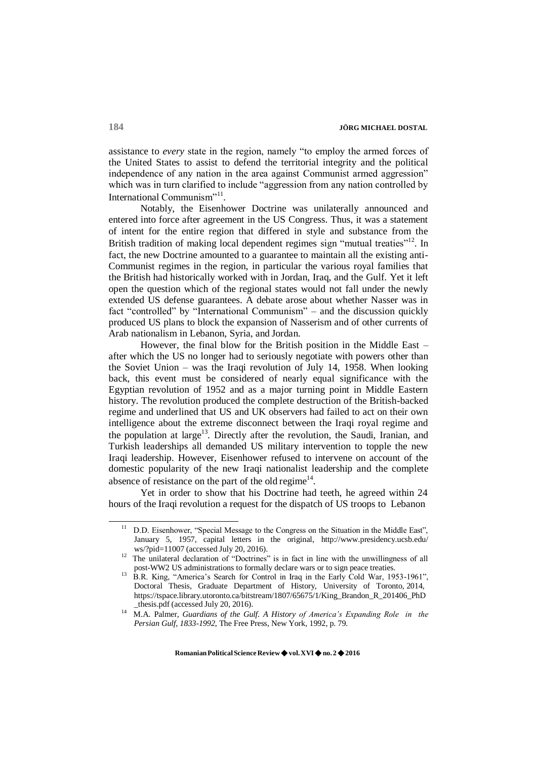assistance to *every* state in the region, namely "to employ the armed forces of the United States to assist to defend the territorial integrity and the political independence of any nation in the area against Communist armed aggression" which was in turn clarified to include "aggression from any nation controlled by International Communism"<sup>11</sup>.

Notably, the Eisenhower Doctrine was unilaterally announced and entered into force after agreement in the US Congress. Thus, it was a statement of intent for the entire region that differed in style and substance from the British tradition of making local dependent regimes sign "mutual treaties"<sup>12</sup>. In fact, the new Doctrine amounted to a guarantee to maintain all the existing anti-Communist regimes in the region, in particular the various royal families that the British had historically worked with in Jordan, Iraq, and the Gulf. Yet it left open the question which of the regional states would not fall under the newly extended US defense guarantees. A debate arose about whether Nasser was in fact "controlled" by "International Communism" – and the discussion quickly produced US plans to block the expansion of Nasserism and of other currents of Arab nationalism in Lebanon, Syria, and Jordan.

However, the final blow for the British position in the Middle East – after which the US no longer had to seriously negotiate with powers other than the Soviet Union – was the Iraqi revolution of July 14, 1958. When looking back, this event must be considered of nearly equal significance with the Egyptian revolution of 1952 and as a major turning point in Middle Eastern history. The revolution produced the complete destruction of the British-backed regime and underlined that US and UK observers had failed to act on their own intelligence about the extreme disconnect between the Iraqi royal regime and the population at large<sup>13</sup>. Directly after the revolution, the Saudi, Iranian, and Turkish leaderships all demanded US military intervention to topple the new Iraqi leadership. However, Eisenhower refused to intervene on account of the domestic popularity of the new Iraqi nationalist leadership and the complete absence of resistance on the part of the old regime<sup>14</sup>.

Yet in order to show that his Doctrine had teeth, he agreed within 24 hours of the Iraqi revolution a request for the dispatch of US troops to Lebanon

 $11$  D.D. Eisenhower, "Special Message to the Congress on the Situation in the Middle East". January 5, 1957, capital letters in the original, <http://www.presidency.ucsb.edu/> ws/?pid=11007 (accessed July 20, 2016).

<sup>&</sup>lt;sup>12</sup> The unilateral declaration of "Doctrines" is in fact in line with the unwillingness of all post-WW2 US administrations to formally declare wars or to sign peace treaties.

<sup>&</sup>lt;sup>13</sup> B.R. King, "America's Search for Control in Iraq in the Early Cold War, 1953-1961", Doctoral Thesis, Graduate Department of History, University of Toronto, 2014, https://tspace.library.utoronto.ca/bitstream/1807/65675/1/King\_Brandon\_R\_201406\_PhD \_thesis.pdf (accessed July 20, 2016).

<sup>&</sup>lt;sup>14</sup> M.A. Palmer, *Guardians of the Gulf. A History of America's Expanding Role in the Persian Gulf, 1833-1992*, The Free Press, New York, 1992, p. 79.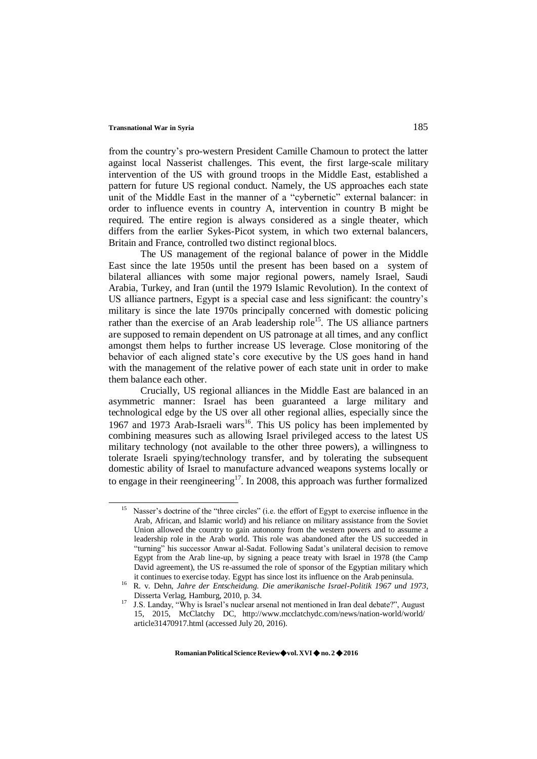from the country's pro-western President Camille Chamoun to protect the latter against local Nasserist challenges. This event, the first large-scale military intervention of the US with ground troops in the Middle East, established a pattern for future US regional conduct. Namely, the US approaches each state unit of the Middle East in the manner of a "cybernetic" external balancer: in order to influence events in country A, intervention in country B might be required. The entire region is always considered as a single theater, which differs from the earlier Sykes-Picot system, in which two external balancers, Britain and France, controlled two distinct regional blocs.

The US management of the regional balance of power in the Middle East since the late 1950s until the present has been based on a system of bilateral alliances with some major regional powers, namely Israel, Saudi Arabia, Turkey, and Iran (until the 1979 Islamic Revolution). In the context of US alliance partners, Egypt is a special case and less significant: the country's military is since the late 1970s principally concerned with domestic policing rather than the exercise of an Arab leadership role<sup>15</sup>. The US alliance partners are supposed to remain dependent on US patronage at all times, and any conflict amongst them helps to further increase US leverage. Close monitoring of the behavior of each aligned state's core executive by the US goes hand in hand with the management of the relative power of each state unit in order to make them balance each other.

Crucially, US regional alliances in the Middle East are balanced in an asymmetric manner: Israel has been guaranteed a large military and technological edge by the US over all other regional allies, especially since the 1967 and 1973 Arab-Israeli wars<sup>16</sup>. This US policy has been implemented by combining measures such as allowing Israel privileged access to the latest US military technology (not available to the other three powers), a willingness to tolerate Israeli spying/technology transfer, and by tolerating the subsequent domestic ability of Israel to manufacture advanced weapons systems locally or to engage in their reengineering<sup>17</sup>. In 2008, this approach was further formalized

Nasser's doctrine of the "three circles" (i.e. the effort of Egypt to exercise influence in the Arab, African, and Islamic world) and his reliance on military assistance from the Soviet Union allowed the country to gain autonomy from the western powers and to assume a leadership role in the Arab world. This role was abandoned after the US succeeded in "turning" his successor Anwar al-Sadat. Following Sadat's unilateral decision to remove Egypt from the Arab line-up, by signing a peace treaty with Israel in 1978 (the Camp David agreement), the US re-assumed the role of sponsor of the Egyptian military which it continues to exercise today. Egypt has since lost its influence on the Arab peninsula.

<sup>16</sup>R. v. Dehn, *Jahre der Entscheidung. Die amerikanische Israel-Politik 1967 und 1973*, Disserta Verlag, Hamburg, 2010, p. 34.

<sup>&</sup>lt;sup>17</sup> J.S. Landay, "Why is Israel's nuclear arsenal not mentioned in Iran deal debate?", August 15, 2015, McClatchy DC, <http://www.mcclatchydc.com/news/nation-world/world/> article31470917.html (accessed July 20, 2016).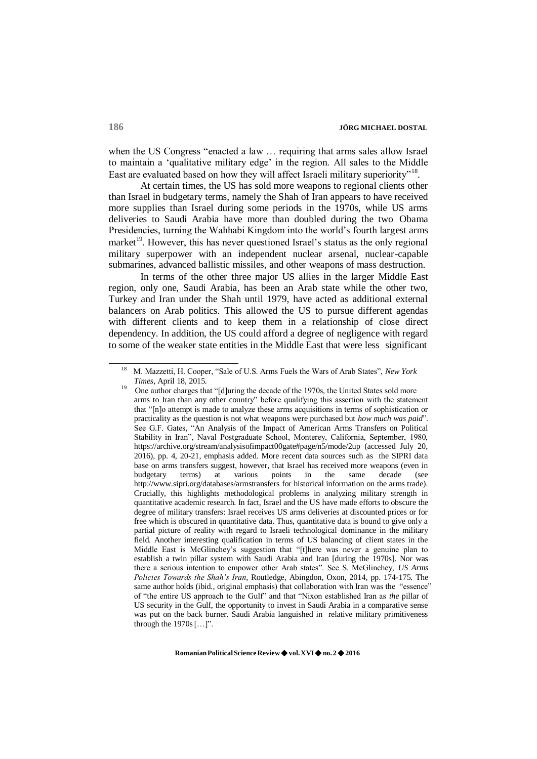when the US Congress "enacted a law ... requiring that arms sales allow Israel to maintain a 'qualitative military edge' in the region. All sales to the Middle East are evaluated based on how they will affect Israeli military superiority"<sup>18</sup>.

At certain times, the US has sold more weapons to regional clients other than Israel in budgetary terms, namely the Shah of Iran appears to have received more supplies than Israel during some periods in the 1970s, while US arms deliveries to Saudi Arabia have more than doubled during the two Obama Presidencies, turning the Wahhabi Kingdom into the world's fourth largest arms market<sup>19</sup>. However, this has never questioned Israel's status as the only regional military superpower with an independent nuclear arsenal, nuclear-capable submarines, advanced ballistic missiles, and other weapons of mass destruction.

In terms of the other three major US allies in the larger Middle East region, only one, Saudi Arabia, has been an Arab state while the other two, Turkey and Iran under the Shah until 1979, have acted as additional external balancers on Arab politics. This allowed the US to pursue different agendas with different clients and to keep them in a relationship of close direct dependency. In addition, the US could afford a degree of negligence with regard to some of the weaker state entities in the Middle East that were less significant

<sup>18</sup>M. Mazzetti, H. Cooper, "Sale of U.S. Arms Fuels the Wars of Arab States", *New York Times*, April 18, 2015.

<sup>19</sup>One author charges that "[d]uring the decade of the 1970s, the United States sold more arms to Iran than any other country" before qualifying this assertion with the statement that "[n]o attempt is made to analyze these arms acquisitions in terms of sophistication or practicality as the question is not what weapons were purchased but *how much was paid*". See G.F. Gates, "An Analysis of the Impact of American Arms Transfers on Political Stability in Iran", Naval Postgraduate School, Monterey, California, September, 1980, https://archive.org/stream/analysisofimpact00gate#page/n5/mode/2up (accessed July 20, 2016), pp. 4, 20-21, emphasis added. More recent data sources such as the SIPRI data base on arms transfers suggest, however, that Israel has received more weapons (even in budgetary terms) at various points in the same decade (see terms) at various points in the same decade (see <http://www.sipri.org/databases/armstransfers> for historical information on the arms trade). Crucially, this highlights methodological problems in analyzing military strength in quantitative academic research. In fact, Israel and the US have made efforts to obscure the degree of military transfers: Israel receives US arms deliveries at discounted prices or for free which is obscured in quantitative data. Thus, quantitative data is bound to give only a partial picture of reality with regard to Israeli technological dominance in the military field. Another interesting qualification in terms of US balancing of client states in the Middle East is McGlinchey's suggestion that "[t]here was never a genuine plan to establish a twin pillar system with Saudi Arabia and Iran [during the 1970s]. Nor was there a serious intention to empower other Arab states". See S. McGlinchey, *US Arms Policies Towards the Shah's Iran*, Routledge, Abingdon, Oxon, 2014, pp. 174-175. The same author holds (ibid., original emphasis) that collaboration with Iran was the "essence" of "the entire US approach to the Gulf" and that "Nixon established Iran as *the* pillar of US security in the Gulf, the opportunity to invest in Saudi Arabia in a comparative sense was put on the back burner. Saudi Arabia languished in relative military primitiveness through the  $1970s$   $[...]$ .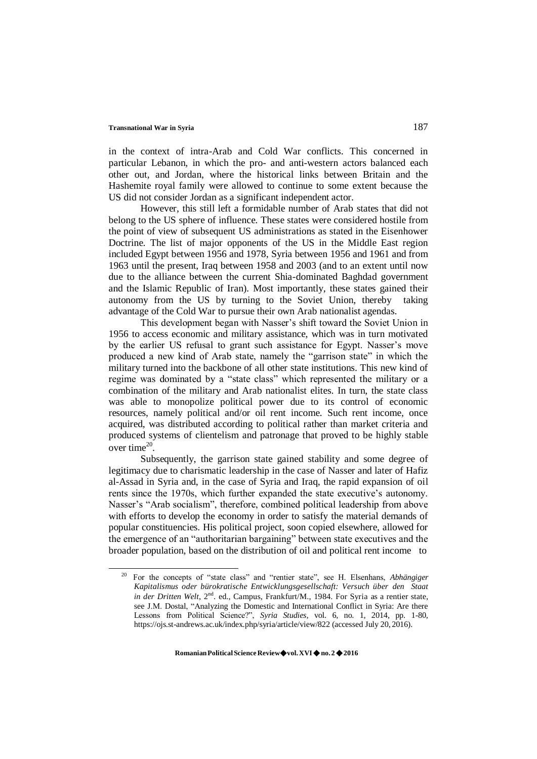in the context of intra-Arab and Cold War conflicts. This concerned in particular Lebanon, in which the pro- and anti-western actors balanced each other out, and Jordan, where the historical links between Britain and the Hashemite royal family were allowed to continue to some extent because the US did not consider Jordan as a significant independent actor.

However, this still left a formidable number of Arab states that did not belong to the US sphere of influence. These states were considered hostile from the point of view of subsequent US administrations as stated in the Eisenhower Doctrine. The list of major opponents of the US in the Middle East region included Egypt between 1956 and 1978, Syria between 1956 and 1961 and from 1963 until the present, Iraq between 1958 and 2003 (and to an extent until now due to the alliance between the current Shia-dominated Baghdad government and the Islamic Republic of Iran). Most importantly, these states gained their autonomy from the US by turning to the Soviet Union, thereby taking advantage of the Cold War to pursue their own Arab nationalist agendas.

This development began with Nasser's shift toward the Soviet Union in 1956 to access economic and military assistance, which was in turn motivated by the earlier US refusal to grant such assistance for Egypt. Nasser's move produced a new kind of Arab state, namely the "garrison state" in which the military turned into the backbone of all other state institutions. This new kind of regime was dominated by a "state class" which represented the military or a combination of the military and Arab nationalist elites. In turn, the state class was able to monopolize political power due to its control of economic resources, namely political and/or oil rent income. Such rent income, once acquired, was distributed according to political rather than market criteria and produced systems of clientelism and patronage that proved to be highly stable over time $20$ .

Subsequently, the garrison state gained stability and some degree of legitimacy due to charismatic leadership in the case of Nasser and later of Hafiz al-Assad in Syria and, in the case of Syria and Iraq, the rapid expansion of oil rents since the 1970s, which further expanded the state executive's autonomy. Nasser's "Arab socialism", therefore, combined political leadership from above with efforts to develop the economy in order to satisfy the material demands of popular constituencies. His political project, soon copied elsewhere, allowed for the emergence of an "authoritarian bargaining" between state executives and the broader population, based on the distribution of oil and political rent income to

<sup>20</sup>For the concepts of "state class" and "rentier state", see H. Elsenhans, *Abhängiger Kapitalismus oder bürokratische Entwicklungsgesellschaft: Versuch über den Staat in der Dritten Welt*, 2<sup>nd</sup>. ed., Campus, Frankfurt/M., 1984. For Syria as a rentier state, see J.M. Dostal, "Analyzing the Domestic and International Conflict in Syria: Are there Lessons from Political Science?", *Syria Studies*, vol. 6, no. 1, 2014, pp. 1-80, https://ojs.st-andrews.ac.uk/index.php/syria/article/view/822 (accessed July 20, 2016).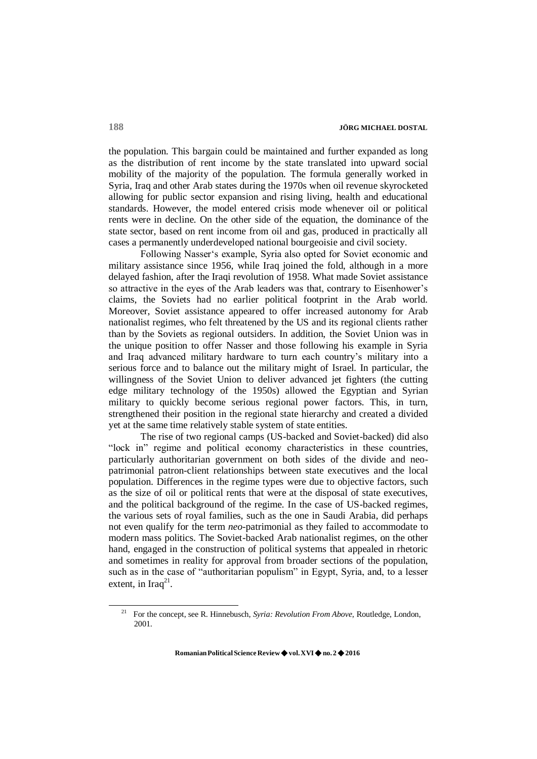the population. This bargain could be maintained and further expanded as long as the distribution of rent income by the state translated into upward social mobility of the majority of the population. The formula generally worked in Syria, Iraq and other Arab states during the 1970s when oil revenue skyrocketed allowing for public sector expansion and rising living, health and educational standards. However, the model entered crisis mode whenever oil or political rents were in decline. On the other side of the equation, the dominance of the state sector, based on rent income from oil and gas, produced in practically all cases a permanently underdeveloped national bourgeoisie and civil society.

Following Nasser's example, Syria also opted for Soviet economic and military assistance since 1956, while Iraq joined the fold, although in a more delayed fashion, after the Iraqi revolution of 1958. What made Soviet assistance so attractive in the eyes of the Arab leaders was that, contrary to Eisenhower's claims, the Soviets had no earlier political footprint in the Arab world. Moreover, Soviet assistance appeared to offer increased autonomy for Arab nationalist regimes, who felt threatened by the US and its regional clients rather than by the Soviets as regional outsiders. In addition, the Soviet Union was in the unique position to offer Nasser and those following his example in Syria and Iraq advanced military hardware to turn each country's military into a serious force and to balance out the military might of Israel. In particular, the willingness of the Soviet Union to deliver advanced jet fighters (the cutting edge military technology of the 1950s) allowed the Egyptian and Syrian military to quickly become serious regional power factors. This, in turn, strengthened their position in the regional state hierarchy and created a divided yet at the same time relatively stable system of state entities.

The rise of two regional camps (US-backed and Soviet-backed) did also "lock in" regime and political economy characteristics in these countries, particularly authoritarian government on both sides of the divide and neopatrimonial patron-client relationships between state executives and the local population. Differences in the regime types were due to objective factors, such as the size of oil or political rents that were at the disposal of state executives, and the political background of the regime. In the case of US-backed regimes, the various sets of royal families, such as the one in Saudi Arabia, did perhaps not even qualify for the term *neo*-patrimonial as they failed to accommodate to modern mass politics. The Soviet-backed Arab nationalist regimes, on the other hand, engaged in the construction of political systems that appealed in rhetoric and sometimes in reality for approval from broader sections of the population, such as in the case of "authoritarian populism" in Egypt, Syria, and, to a lesser extent, in Iraq $^{21}$ .

<sup>21</sup>For the concept, see R. Hinnebusch, *Syria: Revolution From Above*, Routledge, London, 2001.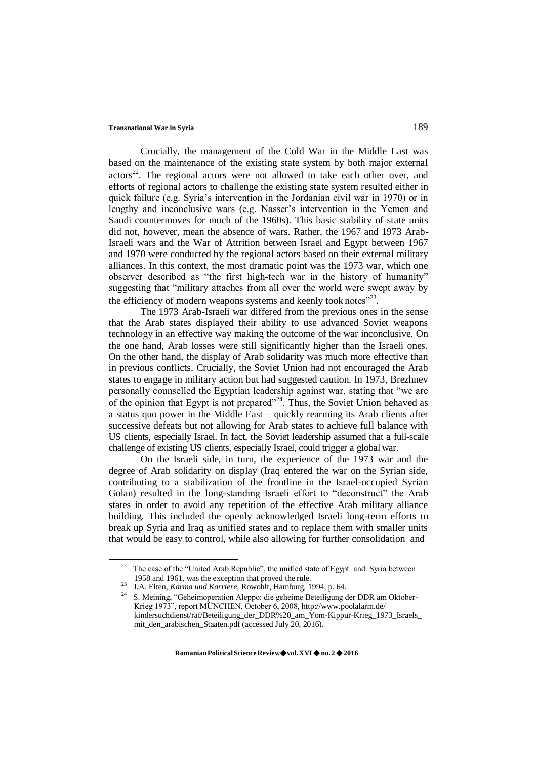Crucially, the management of the Cold War in the Middle East was based on the maintenance of the existing state system by both major external  $\arccos^{22}$ . The regional actors were not allowed to take each other over, and efforts of regional actors to challenge the existing state system resulted either in quick failure (e.g. Syria's intervention in the Jordanian civil war in 1970) or in lengthy and inconclusive wars (e.g. Nasser's intervention in the Yemen and Saudi countermoves for much of the 1960s). This basic stability of state units did not, however, mean the absence of wars. Rather, the 1967 and 1973 Arab-Israeli wars and the War of Attrition between Israel and Egypt between 1967 and 1970 were conducted by the regional actors based on their external military alliances. In this context, the most dramatic point was the 1973 war, which one observer described as "the first high-tech war in the history of humanity" suggesting that "military attaches from all over the world were swept away by the efficiency of modern weapons systems and keenly took notes $"^{23}$ .

The 1973 Arab-Israeli war differed from the previous ones in the sense that the Arab states displayed their ability to use advanced Soviet weapons technology in an effective way making the outcome of the war inconclusive. On the one hand, Arab losses were still significantly higher than the Israeli ones. On the other hand, the display of Arab solidarity was much more effective than in previous conflicts. Crucially, the Soviet Union had not encouraged the Arab states to engage in military action but had suggested caution. In 1973, Brezhnev personally counselled the Egyptian leadership against war, stating that "we are of the opinion that Egypt is not prepared<sup> $224$ </sup>. Thus, the Soviet Union behaved as a status quo power in the Middle East – quickly rearming its Arab clients after successive defeats but not allowing for Arab states to achieve full balance with US clients, especially Israel. In fact, the Soviet leadership assumed that a full-scale challenge of existing US clients, especially Israel, could trigger a global war.

On the Israeli side, in turn, the experience of the 1973 war and the degree of Arab solidarity on display (Iraq entered the war on the Syrian side, contributing to a stabilization of the frontline in the Israel-occupied Syrian Golan) resulted in the long-standing Israeli effort to "deconstruct" the Arab states in order to avoid any repetition of the effective Arab military alliance building. This included the openly acknowledged Israeli long-term efforts to break up Syria and Iraq as unified states and to replace them with smaller units that would be easy to control, while also allowing for further consolidation and

 $22$  The case of the "United Arab Republic", the unified state of Egypt and Syria between 1958 and 1961, was the exception that proved the rule.

<sup>&</sup>lt;sup>23</sup> J.A. Elten, *Karma und Karriere*, Rowohlt, Hamburg, 1994, p. 64.

<sup>&</sup>lt;sup>24</sup>S. Meining, "Geheimoperation Aleppo: die geheime Beteiligung der DDR am Oktober-Krieg 1973", report MÜNCHEN, October 6, 200[8, http://www.poolalarm.de/](http://www.poolalarm.de/) kindersuchdienst/raf/Beteiligung\_der\_DDR%20\_am\_Yom-Kippur-Krieg\_1973\_Israels\_ mit\_den\_arabischen\_Staaten.pdf (accessed July 20, 2016).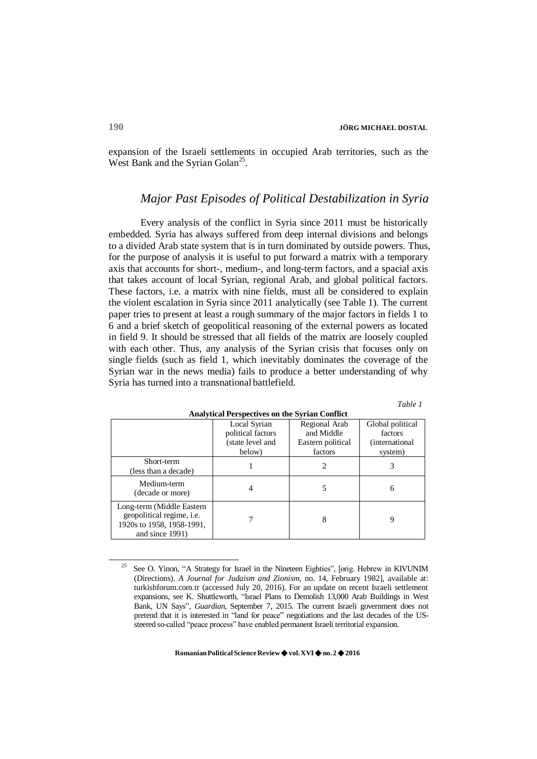expansion of the Israeli settlements in occupied Arab territories, such as the West Bank and the Syrian Golan<sup>25</sup>.

### *Major Past Episodes of Political Destabilization in Syria*

Every analysis of the conflict in Syria since 2011 must be historically embedded. Syria has always suffered from deep internal divisions and belongs to a divided Arab state system that is in turn dominated by outside powers. Thus, for the purpose of analysis it is useful to put forward a matrix with a temporary axis that accounts for short-, medium-, and long-term factors, and a spacial axis that takes account of local Syrian, regional Arab, and global political factors. These factors, i.e. a matrix with nine fields, must all be considered to explain the violent escalation in Syria since 2011 analytically (see Table 1). The current paper tries to present at least a rough summary of the major factors in fields 1 to 6 and a brief sketch of geopolitical reasoning of the external powers as located in field 9. It should be stressed that all fields of the matrix are loosely coupled with each other. Thus, any analysis of the Syrian crisis that focuses only on single fields (such as field 1, which inevitably dominates the coverage of the Syrian war in the news media) fails to produce a better understanding of why Syria has turned into a transnational battlefield.

| <i>i</i> able |  |
|---------------|--|
|---------------|--|

| Analytical I el specuves un the sylvan commet                                                                 |                   |                   |                        |  |  |  |  |  |  |
|---------------------------------------------------------------------------------------------------------------|-------------------|-------------------|------------------------|--|--|--|--|--|--|
|                                                                                                               | Local Syrian      | Regional Arab     | Global political       |  |  |  |  |  |  |
|                                                                                                               | political factors | and Middle        | factors                |  |  |  |  |  |  |
|                                                                                                               | (state level and  | Eastern political | <i>(international)</i> |  |  |  |  |  |  |
|                                                                                                               | below)            | factors           | system)                |  |  |  |  |  |  |
| Short-term<br>(less than a decade)                                                                            |                   | $\overline{c}$    |                        |  |  |  |  |  |  |
| Medium-term<br>(decade or more)                                                                               |                   |                   | 6                      |  |  |  |  |  |  |
| Long-term (Middle Eastern<br>geopolitical regime, <i>i.e.</i><br>1920s to 1958, 1958-1991,<br>and since 1991) |                   | 8                 | 9                      |  |  |  |  |  |  |

**Analytical Perspectives on the Syrian Conflict**

<sup>25</sup>See O. Yinon, "A Strategy for Israel in the Nineteen Eighties", [orig. Hebrew in KIVUNIM (Directions). *A Journal for Judaism and Zionism*, no. 14, February 1982], available at: turkishforum.com.tr (accessed July 20, 2016). For an update on recent Israeli settlement expansions, see K. Shuttleworth, "Israel Plans to Demolish 13,000 Arab Buildings in West Bank, UN Says", *Guardian*, September 7, 2015. The current Israeli government does not pretend that it is interested in "land for peace" negotiations and the last decades of the USsteered so-called "peace process" have enabled permanent Israeli territorial expansion.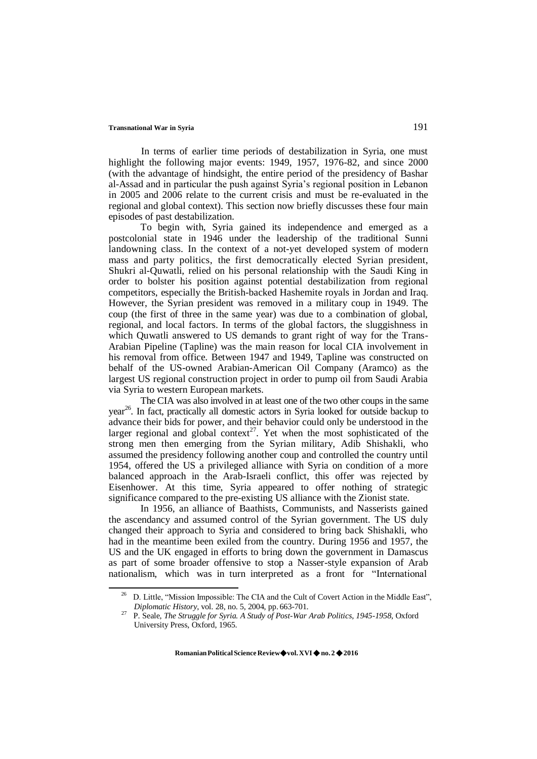In terms of earlier time periods of destabilization in Syria, one must highlight the following major events: 1949, 1957, 1976-82, and since 2000 (with the advantage of hindsight, the entire period of the presidency of Bashar al-Assad and in particular the push against Syria's regional position in Lebanon in 2005 and 2006 relate to the current crisis and must be re-evaluated in the regional and global context). This section now briefly discusses these four main episodes of past destabilization.

To begin with, Syria gained its independence and emerged as a postcolonial state in 1946 under the leadership of the traditional Sunni landowning class. In the context of a not-yet developed system of modern mass and party politics, the first democratically elected Syrian president, Shukri al-Quwatli, relied on his personal relationship with the Saudi King in order to bolster his position against potential destabilization from regional competitors, especially the British-backed Hashemite royals in Jordan and Iraq. However, the Syrian president was removed in a military coup in 1949. The coup (the first of three in the same year) was due to a combination of global, regional, and local factors. In terms of the global factors, the sluggishness in which Quwatli answered to US demands to grant right of way for the Trans-Arabian Pipeline (Tapline) was the main reason for local CIA involvement in his removal from office. Between 1947 and 1949, Tapline was constructed on behalf of the US-owned Arabian-American Oil Company (Aramco) as the largest US regional construction project in order to pump oil from Saudi Arabia via Syria to western European markets.

The CIA was also involved in at least one of the two other coups in the same year<sup>26</sup>. In fact, practically all domestic actors in Syria looked for outside backup to advance their bids for power, and their behavior could only be understood in the larger regional and global context<sup>27</sup>. Yet when the most sophisticated of the strong men then emerging from the Syrian military, Adib Shishakli, who assumed the presidency following another coup and controlled the country until 1954, offered the US a privileged alliance with Syria on condition of a more balanced approach in the Arab-Israeli conflict, this offer was rejected by Eisenhower. At this time, Syria appeared to offer nothing of strategic significance compared to the pre-existing US alliance with the Zionist state.

In 1956, an alliance of Baathists, Communists, and Nasserists gained the ascendancy and assumed control of the Syrian government. The US duly changed their approach to Syria and considered to bring back Shishakli, who had in the meantime been exiled from the country. During 1956 and 1957, the US and the UK engaged in efforts to bring down the government in Damascus as part of some broader offensive to stop a Nasser-style expansion of Arab nationalism, which was in turn interpreted as a front for "International

<sup>&</sup>lt;sup>26</sup> D. Little, "Mission Impossible: The CIA and the Cult of Covert Action in the Middle East", *Diplomatic History*, vol. 28, no. 5, 2004, pp. 663-701.

<sup>27</sup>P. Seale, *The Struggle for Syria. A Study of Post-War Arab Politics, 1945-1958*, Oxford University Press, Oxford, 1965.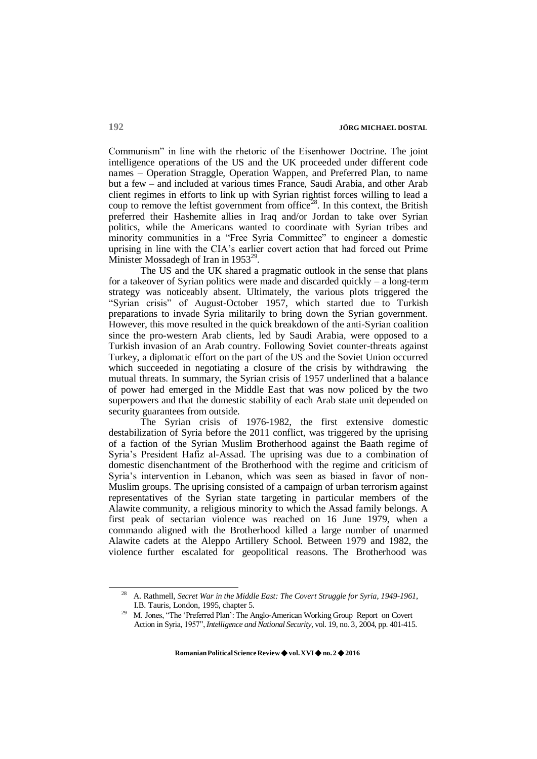Communism" in line with the rhetoric of the Eisenhower Doctrine. The joint intelligence operations of the US and the UK proceeded under different code names – Operation Straggle, Operation Wappen, and Preferred Plan, to name but a few – and included at various times France, Saudi Arabia, and other Arab client regimes in efforts to link up with Syrian rightist forces willing to lead a coup to remove the leftist government from office<sup>28</sup>. In this context, the British preferred their Hashemite allies in Iraq and/or Jordan to take over Syrian politics, while the Americans wanted to coordinate with Syrian tribes and minority communities in a "Free Syria Committee" to engineer a domestic uprising in line with the CIA's earlier covert action that had forced out Prime Minister Mossadegh of Iran in  $1953^{29}$ .

The US and the UK shared a pragmatic outlook in the sense that plans for a takeover of Syrian politics were made and discarded quickly – a long-term strategy was noticeably absent. Ultimately, the various plots triggered the "Syrian crisis" of August-October 1957, which started due to Turkish preparations to invade Syria militarily to bring down the Syrian government. However, this move resulted in the quick breakdown of the anti-Syrian coalition since the pro-western Arab clients, led by Saudi Arabia, were opposed to a Turkish invasion of an Arab country. Following Soviet counter-threats against Turkey, a diplomatic effort on the part of the US and the Soviet Union occurred which succeeded in negotiating a closure of the crisis by withdrawing the mutual threats. In summary, the Syrian crisis of 1957 underlined that a balance of power had emerged in the Middle East that was now policed by the two superpowers and that the domestic stability of each Arab state unit depended on security guarantees from outside.

The Syrian crisis of 1976-1982, the first extensive domestic destabilization of Syria before the 2011 conflict, was triggered by the uprising of a faction of the Syrian Muslim Brotherhood against the Baath regime of Syria's President Hafiz al-Assad. The uprising was due to a combination of domestic disenchantment of the Brotherhood with the regime and criticism of Syria's intervention in Lebanon, which was seen as biased in favor of non-Muslim groups. The uprising consisted of a campaign of urban terrorism against representatives of the Syrian state targeting in particular members of the Alawite community, a religious minority to which the Assad family belongs. A first peak of sectarian violence was reached on 16 June 1979, when a commando aligned with the Brotherhood killed a large number of unarmed Alawite cadets at the Aleppo Artillery School. Between 1979 and 1982, the violence further escalated for geopolitical reasons. The Brotherhood was

<sup>28</sup>A. Rathmell, *Secret War in the Middle East: The Covert Struggle for Syria, 1949-1961*, I.B. Tauris, London, 1995, chapter 5.

M. Jones, "The 'Preferred Plan': The Anglo-American Working Group Report on Covert Action in Syria, 1957", *Intelligence and National Security*, vol. 19, no. 3, 2004, pp. 401-415.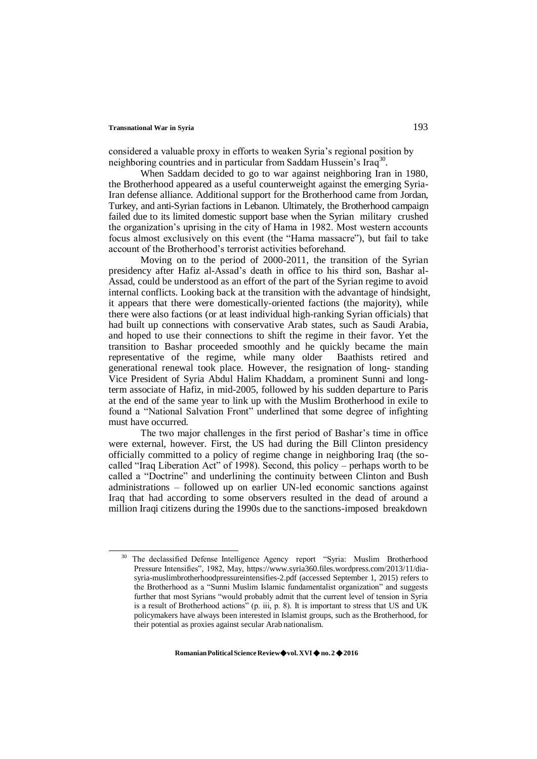considered a valuable proxy in efforts to weaken Syria's regional position by neighboring countries and in particular from Saddam Hussein's Iraq<sup>30</sup>.

When Saddam decided to go to war against neighboring Iran in 1980, the Brotherhood appeared as a useful counterweight against the emerging Syria-Iran defense alliance. Additional support for the Brotherhood came from Jordan, Turkey, and anti-Syrian factions in Lebanon. Ultimately, the Brotherhood campaign failed due to its limited domestic support base when the Syrian military crushed the organization's uprising in the city of Hama in 1982. Most western accounts focus almost exclusively on this event (the "Hama massacre"), but fail to take account of the Brotherhood's terrorist activities beforehand.

Moving on to the period of 2000-2011, the transition of the Syrian presidency after Hafiz al-Assad's death in office to his third son, Bashar al-Assad, could be understood as an effort of the part of the Syrian regime to avoid internal conflicts. Looking back at the transition with the advantage of hindsight, it appears that there were domestically-oriented factions (the majority), while there were also factions (or at least individual high-ranking Syrian officials) that had built up connections with conservative Arab states, such as Saudi Arabia, and hoped to use their connections to shift the regime in their favor. Yet the transition to Bashar proceeded smoothly and he quickly became the main representative of the regime, while many older Baathists retired and generational renewal took place. However, the resignation of long- standing Vice President of Syria Abdul Halim Khaddam, a prominent Sunni and longterm associate of Hafiz, in mid-2005, followed by his sudden departure to Paris at the end of the same year to link up with the Muslim Brotherhood in exile to found a "National Salvation Front" underlined that some degree of infighting must have occurred.

The two major challenges in the first period of Bashar's time in office were external, however. First, the US had during the Bill Clinton presidency officially committed to a policy of regime change in neighboring Iraq (the socalled "Iraq Liberation Act" of 1998). Second, this policy – perhaps worth to be called a "Doctrine" and underlining the continuity between Clinton and Bush administrations – followed up on earlier UN-led economic sanctions against Iraq that had according to some observers resulted in the dead of around a million Iraqi citizens during the 1990s due to the sanctions-imposed breakdown

<sup>&</sup>lt;sup>30</sup> The declassified Defense Intelligence Agency report "Syria: Muslim Brotherhood Pressure Intensifies", 1982, May, http[s://www.syria360.files.wordpress.com/2013/11/dia](http://www.syria360.files.wordpress.com/2013/11/dia-)syria-muslimbrotherhoodpressureintensifies-2.pdf (accessed September 1, 2015) refers to the Brotherhood as a "Sunni Muslim Islamic fundamentalist organization" and suggests further that most Syrians "would probably admit that the current level of tension in Syria is a result of Brotherhood actions" (p. iii, p. 8). It is important to stress that US and UK policymakers have always been interested in Islamist groups, such as the Brotherhood, for their potential as proxies against secular Arab nationalism.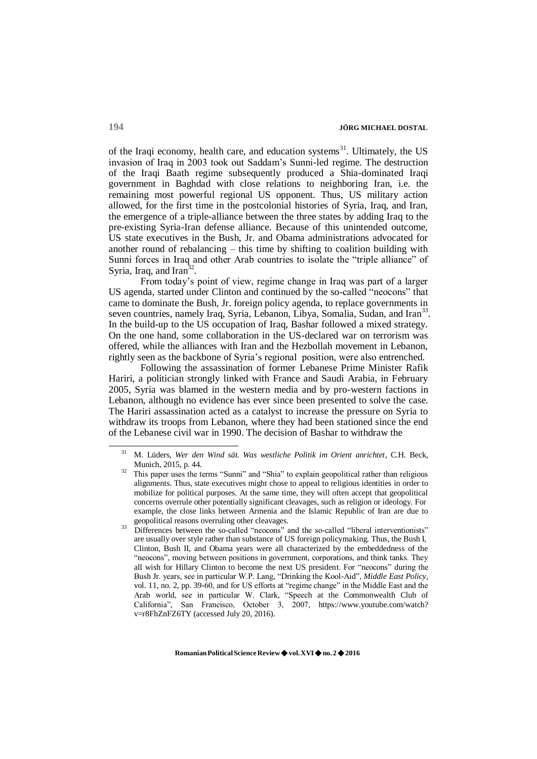of the Iraqi economy, health care, and education systems $31$ . Ultimately, the US invasion of Iraq in 2003 took out Saddam's Sunni-led regime. The destruction of the Iraqi Baath regime subsequently produced a Shia-dominated Iraqi government in Baghdad with close relations to neighboring Iran, i.e. the remaining most powerful regional US opponent. Thus, US military action allowed, for the first time in the postcolonial histories of Syria, Iraq, and Iran, the emergence of a triple-alliance between the three states by adding Iraq to the pre-existing Syria-Iran defense alliance. Because of this unintended outcome, US state executives in the Bush, Jr. and Obama administrations advocated for another round of rebalancing – this time by shifting to coalition building with Sunni forces in Iraq and other Arab countries to isolate the "triple alliance" of Syria, Iraq, and Iran<sup>32</sup>.

From today's point of view, regime change in Iraq was part of a larger US agenda, started under Clinton and continued by the so-called "neocons" that came to dominate the Bush, Jr. foreign policy agenda, to replace governments in seven countries, namely Iraq, Syria, Lebanon, Libya, Somalia, Sudan, and Iran<sup>33</sup>. In the build-up to the US occupation of Iraq, Bashar followed a mixed strategy. On the one hand, some collaboration in the US-declared war on terrorism was offered, while the alliances with Iran and the Hezbollah movement in Lebanon, rightly seen as the backbone of Syria's regional position, were also entrenched.

Following the assassination of former Lebanese Prime Minister Rafik Hariri, a politician strongly linked with France and Saudi Arabia, in February 2005, Syria was blamed in the western media and by pro-western factions in Lebanon, although no evidence has ever since been presented to solve the case. The Hariri assassination acted as a catalyst to increase the pressure on Syria to withdraw its troops from Lebanon, where they had been stationed since the end of the Lebanese civil war in 1990. The decision of Bashar to withdraw the

<sup>31</sup>M. Lüders, *Wer den Wind sät. Was westliche Politik im Orient anrichtet*, C.H. Beck, Munich, 2015, p. 44.

This paper uses the terms "Sunni" and "Shia" to explain geopolitical rather than religious alignments. Thus, state executives might chose to appeal to religious identities in order to mobilize for political purposes. At the same time, they will often accept that geopolitical concerns overrule other potentially significant cleavages, such as religion or ideology. For example, the close links between Armenia and the Islamic Republic of Iran are due to geopolitical reasons overruling other cleavages.

<sup>&</sup>lt;sup>33</sup> Differences between the so-called "neocons" and the so-called "liberal interventionists" are usually over style rather than substance of US foreign policymaking. Thus, the Bush I, Clinton, Bush II, and Obama years were all characterized by the embeddedness of the "neocons", moving between positions in government, corporations, and think tanks. They all wish for Hillary Clinton to become the next US president. For "neocons" during the Bush Jr. years, see in particular W.P. Lang, "Drinking the Kool-Aid", *Middle East Policy*, vol. 11, no. 2, pp. 39-60, and for US efforts at "regime change" in the Middle East and the Arab world, see in particular W. Clark, "Speech at the Commonwealth Club of California", San Francisco, October 3, 2007, https:[//www.youtube.com/watch?](http://www.youtube.com/watch) v=r8FhZnFZ6TY (accessed July 20, 2016).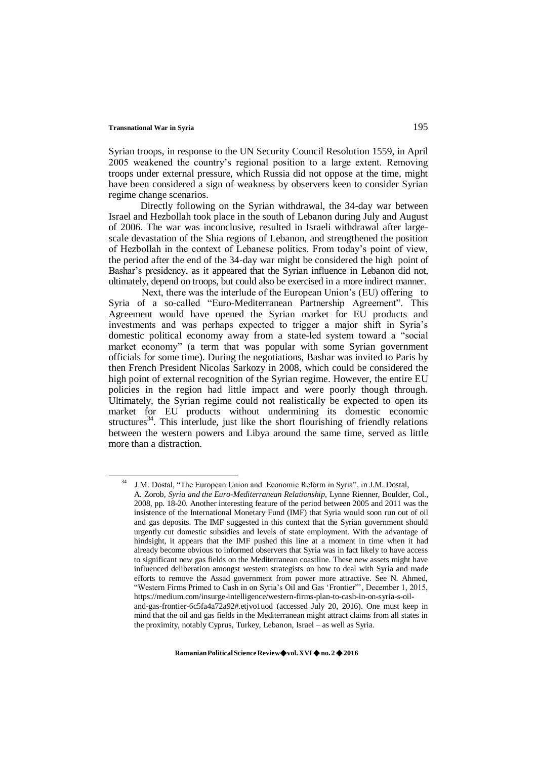Syrian troops, in response to the UN Security Council Resolution 1559, in April 2005 weakened the country's regional position to a large extent. Removing troops under external pressure, which Russia did not oppose at the time, might have been considered a sign of weakness by observers keen to consider Syrian regime change scenarios.

Directly following on the Syrian withdrawal, the 34-day war between Israel and Hezbollah took place in the south of Lebanon during July and August of 2006. The war was inconclusive, resulted in Israeli withdrawal after largescale devastation of the Shia regions of Lebanon, and strengthened the position of Hezbollah in the context of Lebanese politics. From today's point of view, the period after the end of the 34-day war might be considered the high point of Bashar's presidency, as it appeared that the Syrian influence in Lebanon did not, ultimately, depend on troops, but could also be exercised in a more indirect manner.

Next, there was the interlude of the European Union's (EU) offering to Syria of a so-called "Euro-Mediterranean Partnership Agreement". This Agreement would have opened the Syrian market for EU products and investments and was perhaps expected to trigger a major shift in Syria's domestic political economy away from a state-led system toward a "social market economy" (a term that was popular with some Syrian government officials for some time). During the negotiations, Bashar was invited to Paris by then French President Nicolas Sarkozy in 2008, which could be considered the high point of external recognition of the Syrian regime. However, the entire EU policies in the region had little impact and were poorly though through. Ultimately, the Syrian regime could not realistically be expected to open its market for EU products without undermining its domestic economic structures<sup>34</sup>. This interlude, just like the short flourishing of friendly relations between the western powers and Libya around the same time, served as little more than a distraction.

J.M. Dostal, "The European Union and Economic Reform in Syria", in J.M. Dostal,

A. Zorob, *Syria and the Euro-Mediterranean Relationship*, Lynne Rienner, Boulder, Col., 2008, pp. 18-20. Another interesting feature of the period between 2005 and 2011 was the insistence of the International Monetary Fund (IMF) that Syria would soon run out of oil and gas deposits. The IMF suggested in this context that the Syrian government should urgently cut domestic subsidies and levels of state employment. With the advantage of hindsight, it appears that the IMF pushed this line at a moment in time when it had already become obvious to informed observers that Syria was in fact likely to have access to significant new gas fields on the Mediterranean coastline. These new assets might have influenced deliberation amongst western strategists on how to deal with Syria and made efforts to remove the Assad government from power more attractive. See N. Ahmed, "Western Firms Primed to Cash in on Syria's Oil and Gas 'Frontier"', December 1, 2015, https://medium.com/insurge-intelligence/western-firms-plan-to-cash-in-on-syria-s-oil-

and-gas-frontier-6c5fa4a72a92#.etjvo1uod (accessed July 20, 2016). One must keep in mind that the oil and gas fields in the Mediterranean might attract claims from all states in the proximity, notably Cyprus, Turkey, Lebanon, Israel – as well as Syria.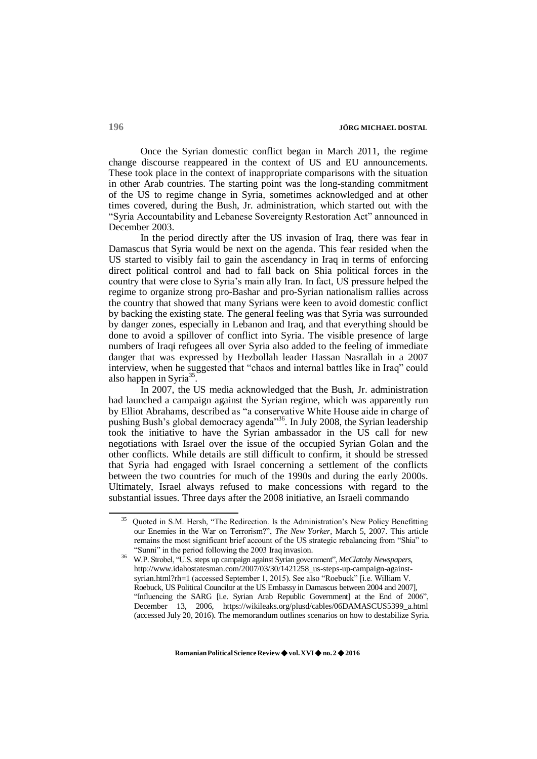Once the Syrian domestic conflict began in March 2011, the regime change discourse reappeared in the context of US and EU announcements. These took place in the context of inappropriate comparisons with the situation in other Arab countries. The starting point was the long-standing commitment of the US to regime change in Syria, sometimes acknowledged and at other times covered, during the Bush, Jr. administration, which started out with the "Syria Accountability and Lebanese Sovereignty Restoration Act" announced in December 2003.

In the period directly after the US invasion of Iraq, there was fear in Damascus that Syria would be next on the agenda. This fear resided when the US started to visibly fail to gain the ascendancy in Iraq in terms of enforcing direct political control and had to fall back on Shia political forces in the country that were close to Syria's main ally Iran. In fact, US pressure helped the regime to organize strong pro-Bashar and pro-Syrian nationalism rallies across the country that showed that many Syrians were keen to avoid domestic conflict by backing the existing state. The general feeling was that Syria was surrounded by danger zones, especially in Lebanon and Iraq, and that everything should be done to avoid a spillover of conflict into Syria. The visible presence of large numbers of Iraqi refugees all over Syria also added to the feeling of immediate danger that was expressed by Hezbollah leader Hassan Nasrallah in a 2007 interview, when he suggested that "chaos and internal battles like in Iraq" could also happen in Syria<sup>35</sup>.

In 2007, the US media acknowledged that the Bush, Jr. administration had launched a campaign against the Syrian regime, which was apparently run by Elliot Abrahams, described as "a conservative White House aide in charge of pushing Bush's global democracy agenda"<sup>36</sup>. In July 2008, the Syrian leadership took the initiative to have the Syrian ambassador in the US call for new negotiations with Israel over the issue of the occupied Syrian Golan and the other conflicts. While details are still difficult to confirm, it should be stressed that Syria had engaged with Israel concerning a settlement of the conflicts between the two countries for much of the 1990s and during the early 2000s. Ultimately, Israel always refused to make concessions with regard to the substantial issues. Three days after the 2008 initiative, an Israeli commando

<sup>35</sup>Quoted in S.M. Hersh, "The Redirection. Is the Administration's New Policy Benefitting our Enemies in the War on Terrorism?", *The New Yorker*, March 5, 2007. This article remains the most significant brief account of the US strategic rebalancing from "Shia" to "Sunni" in the period following the 2003 Iraq invasion.

<sup>36</sup>W.P. Strobel, "U.S. steps up campaign against Syrian government", *McClatchy Newspapers*, [http://www.idahostatesman.com/2007/03/30/1421258\\_us-steps-up-campaign-against](http://www.idahostatesman.com/2007/03/30/1421258_us-steps-up-campaign-against-)syrian.html?rh=1 (accessed September 1, 2015). See also "Roebuck" [i.e. William V. Roebuck, US Political Councilor at the US Embassy in Damascus between 2004 and 2007], "Influencing the SARG [i.e. Syrian Arab Republic Government] at the End of 2006", December 13, 2006, https://wikileaks.org/plusd/cables/06DAMASCUS5399\_a.html (accessed July 20, 2016). The memorandum outlines scenarios on how to destabilize Syria.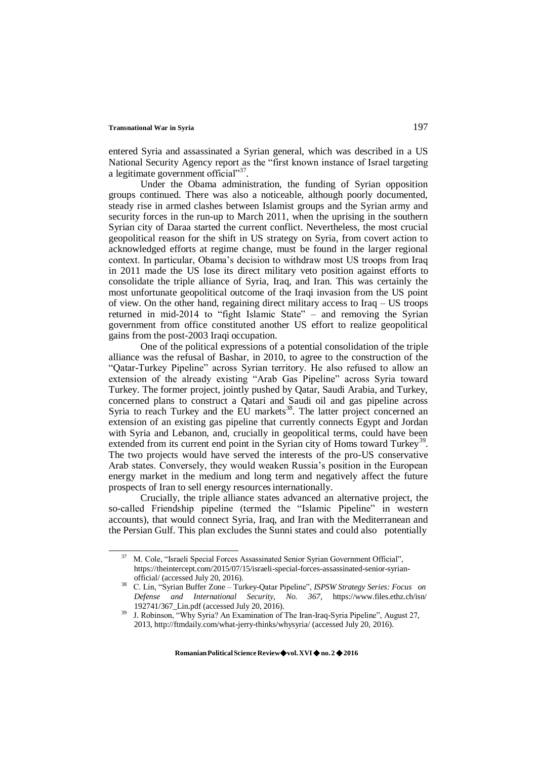entered Syria and assassinated a Syrian general, which was described in a US National Security Agency report as the "first known instance of Israel targeting a legitimate government official"<sup>37</sup>.

Under the Obama administration, the funding of Syrian opposition groups continued. There was also a noticeable, although poorly documented, steady rise in armed clashes between Islamist groups and the Syrian army and security forces in the run-up to March 2011, when the uprising in the southern Syrian city of Daraa started the current conflict. Nevertheless, the most crucial geopolitical reason for the shift in US strategy on Syria, from covert action to acknowledged efforts at regime change, must be found in the larger regional context. In particular, Obama's decision to withdraw most US troops from Iraq in 2011 made the US lose its direct military veto position against efforts to consolidate the triple alliance of Syria, Iraq, and Iran. This was certainly the most unfortunate geopolitical outcome of the Iraqi invasion from the US point of view. On the other hand, regaining direct military access to Iraq – US troops returned in mid-2014 to "fight Islamic State" – and removing the Syrian government from office constituted another US effort to realize geopolitical gains from the post-2003 Iraqi occupation.

One of the political expressions of a potential consolidation of the triple alliance was the refusal of Bashar, in 2010, to agree to the construction of the "Qatar-Turkey Pipeline" across Syrian territory. He also refused to allow an extension of the already existing "Arab Gas Pipeline" across Syria toward Turkey. The former project, jointly pushed by Qatar, Saudi Arabia, and Turkey, concerned plans to construct a Qatari and Saudi oil and gas pipeline across Syria to reach Turkey and the EU markets<sup>38</sup>. The latter project concerned an extension of an existing gas pipeline that currently connects Egypt and Jordan with Syria and Lebanon, and, crucially in geopolitical terms, could have been extended from its current end point in the Syrian city of Homs toward Turkey<sup>39</sup>. The two projects would have served the interests of the pro-US conservative Arab states. Conversely, they would weaken Russia's position in the European energy market in the medium and long term and negatively affect the future prospects of Iran to sell energy resourcesinternationally.

Crucially, the triple alliance states advanced an alternative project, the so-called Friendship pipeline (termed the "Islamic Pipeline" in western accounts), that would connect Syria, Iraq, and Iran with the Mediterranean and the Persian Gulf. This plan excludes the Sunni states and could also potentially

<sup>37</sup>M. Cole, "Israeli Special Forces Assassinated Senior Syrian Government Official", https://theintercept.com/2015/07/15/israeli-special-forces-assassinated-senior-syrianofficial/ (accessed July 20, 2016).

<sup>38</sup>C. Lin, "Syrian Buffer Zone – Turkey-Qatar Pipeline", *ISPSW Strategy Series: Focus on Defense and International Security, No. 367*, http[s://www.files.ethz.ch/isn/](http://www.files.ethz.ch/isn/) 192741/367\_Lin.pdf (accessed July 20, 2016).

J. Robinson, "Why Syria? An Examination of The Iran-Iraq-Syria Pipeline", August 27, 2013,<http://ftmdaily.com/what-jerry-thinks/whysyria/> (accessed July 20, 2016).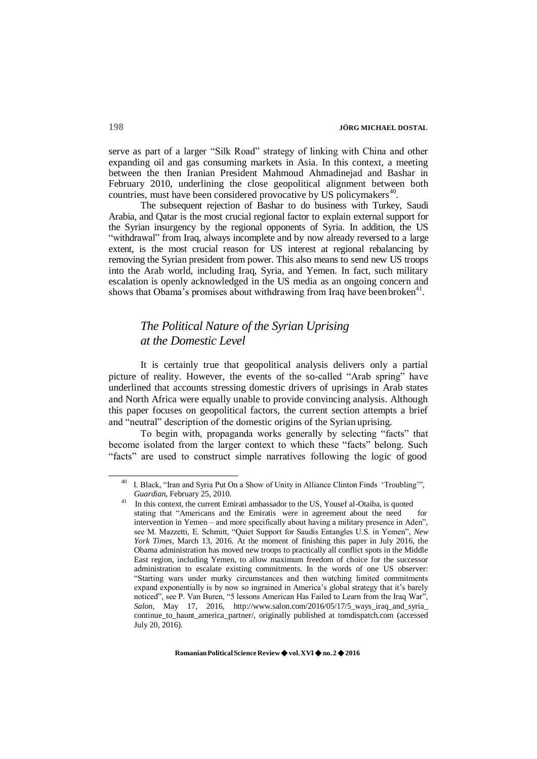serve as part of a larger "Silk Road" strategy of linking with China and other expanding oil and gas consuming markets in Asia. In this context, a meeting between the then Iranian President Mahmoud Ahmadinejad and Bashar in February 2010, underlining the close geopolitical alignment between both countries, must have been considered provocative by US policymakers<sup>40</sup>.

The subsequent rejection of Bashar to do business with Turkey, Saudi Arabia, and Qatar is the most crucial regional factor to explain external support for the Syrian insurgency by the regional opponents of Syria. In addition, the US "withdrawal" from Iraq, always incomplete and by now already reversed to a large extent, is the most crucial reason for US interest at regional rebalancing by removing the Syrian president from power. This also means to send new US troops into the Arab world, including Iraq, Syria, and Yemen. In fact, such military escalation is openly acknowledged in the US media as an ongoing concern and shows that Obama's promises about withdrawing from Iraq have been broken<sup>41</sup>.

## *The Political Nature of the Syrian Uprising at the Domestic Level*

It is certainly true that geopolitical analysis delivers only a partial picture of reality. However, the events of the so-called "Arab spring" have underlined that accounts stressing domestic drivers of uprisings in Arab states and North Africa were equally unable to provide convincing analysis. Although this paper focuses on geopolitical factors, the current section attempts a brief and "neutral" description of the domestic origins of the Syrian uprising.

To begin with, propaganda works generally by selecting "facts" that become isolated from the larger context to which these "facts" belong. Such "facts" are used to construct simple narratives following the logic of good

 $40$  I. Black, "Iran and Syria Put On a Show of Unity in Alliance Clinton Finds 'Troubling'", *Guardian*, February 25, 2010.

In this context, the current Emirati ambassador to the US, Yousef al-Otaiba, is quoted stating that "Americans and the Emiratis were in agreement about the need for intervention in Yemen – and more specifically about having a military presence in Aden", see M. Mazzetti, E. Schmitt, "Quiet Support for Saudis Entangles U.S. in Yemen", *New York Times*, March 13, 2016. At the moment of finishing this paper in July 2016, the Obama administration has moved new troops to practically all conflict spots in the Middle East region, including Yemen, to allow maximum freedom of choice for the successor administration to escalate existing commitments. In the words of one US observer: "Starting wars under murky circumstances and then watching limited commitments expand exponentially is by now so ingrained in America's global strategy that it's barely noticed", see P. Van Buren, "5 lessons American Has Failed to Learn from the Iraq War", *Salon*, May 17, 2016, [http://www.salon.com/2016/05/17/5\\_ways\\_iraq\\_and\\_syria\\_](http://www.salon.com/2016/05/17/5_ways_iraq_and_syria_) continue\_to\_haunt\_america\_partner/, originally published at tomdispatch.com (accessed July 20, 2016).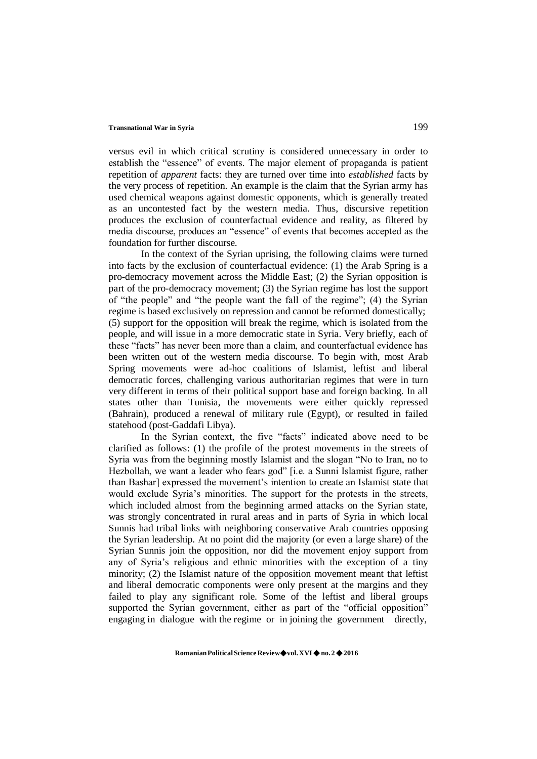versus evil in which critical scrutiny is considered unnecessary in order to establish the "essence" of events. The major element of propaganda is patient repetition of *apparent* facts: they are turned over time into *established* facts by the very process of repetition. An example is the claim that the Syrian army has used chemical weapons against domestic opponents, which is generally treated as an uncontested fact by the western media. Thus, discursive repetition produces the exclusion of counterfactual evidence and reality, as filtered by media discourse, produces an "essence" of events that becomes accepted as the foundation for further discourse.

In the context of the Syrian uprising, the following claims were turned into facts by the exclusion of counterfactual evidence: (1) the Arab Spring is a pro-democracy movement across the Middle East; (2) the Syrian opposition is part of the pro-democracy movement; (3) the Syrian regime has lost the support of "the people" and "the people want the fall of the regime"; (4) the Syrian regime is based exclusively on repression and cannot be reformed domestically; (5) support for the opposition will break the regime, which is isolated from the people, and will issue in a more democratic state in Syria. Very briefly, each of these "facts" has never been more than a claim, and counterfactual evidence has been written out of the western media discourse. To begin with, most Arab Spring movements were ad-hoc coalitions of Islamist, leftist and liberal democratic forces, challenging various authoritarian regimes that were in turn very different in terms of their political support base and foreign backing. In all states other than Tunisia, the movements were either quickly repressed (Bahrain), produced a renewal of military rule (Egypt), or resulted in failed statehood (post-Gaddafi Libya).

In the Syrian context, the five "facts" indicated above need to be clarified as follows: (1) the profile of the protest movements in the streets of Syria was from the beginning mostly Islamist and the slogan "No to Iran, no to Hezbollah, we want a leader who fears god" [i.e. a Sunni Islamist figure, rather than Bashar] expressed the movement's intention to create an Islamist state that would exclude Syria's minorities. The support for the protests in the streets, which included almost from the beginning armed attacks on the Syrian state, was strongly concentrated in rural areas and in parts of Syria in which local Sunnis had tribal links with neighboring conservative Arab countries opposing the Syrian leadership. At no point did the majority (or even a large share) of the Syrian Sunnis join the opposition, nor did the movement enjoy support from any of Syria's religious and ethnic minorities with the exception of a tiny minority; (2) the Islamist nature of the opposition movement meant that leftist and liberal democratic components were only present at the margins and they failed to play any significant role. Some of the leftist and liberal groups supported the Syrian government, either as part of the "official opposition" engaging in dialogue with the regime or in joining the government directly,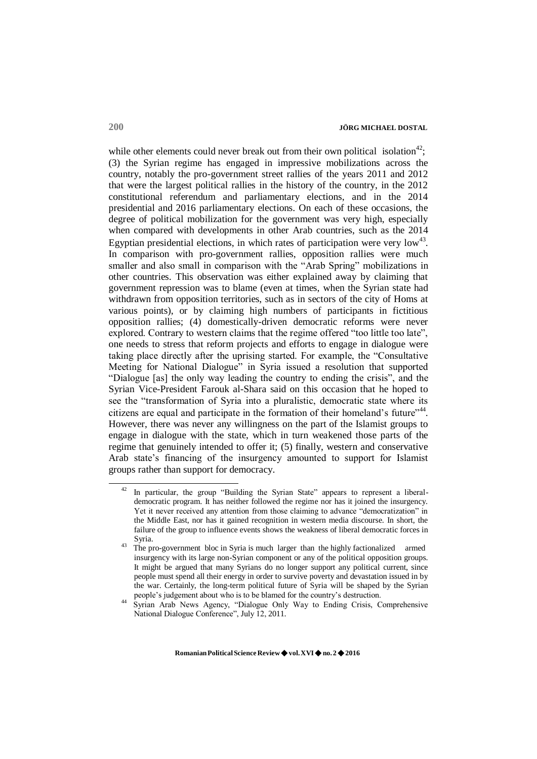while other elements could never break out from their own political isolation<sup>42</sup>: (3) the Syrian regime has engaged in impressive mobilizations across the country, notably the pro-government street rallies of the years 2011 and 2012 that were the largest political rallies in the history of the country, in the 2012 constitutional referendum and parliamentary elections, and in the 2014 presidential and 2016 parliamentary elections. On each of these occasions, the degree of political mobilization for the government was very high, especially when compared with developments in other Arab countries, such as the 2014 Egyptian presidential elections, in which rates of participation were very  $\text{low}^{43}$ . In comparison with pro-government rallies, opposition rallies were much smaller and also small in comparison with the "Arab Spring" mobilizations in other countries. This observation was either explained away by claiming that government repression was to blame (even at times, when the Syrian state had withdrawn from opposition territories, such as in sectors of the city of Homs at various points), or by claiming high numbers of participants in fictitious opposition rallies; (4) domestically-driven democratic reforms were never explored. Contrary to western claims that the regime offered "too little too late", one needs to stress that reform projects and efforts to engage in dialogue were taking place directly after the uprising started. For example, the "Consultative Meeting for National Dialogue" in Syria issued a resolution that supported "Dialogue [as] the only way leading the country to ending the crisis", and the Syrian Vice-President Farouk al-Shara said on this occasion that he hoped to see the "transformation of Syria into a pluralistic, democratic state where its citizens are equal and participate in the formation of their homeland's future" $44$ . However, there was never any willingness on the part of the Islamist groups to engage in dialogue with the state, which in turn weakened those parts of the regime that genuinely intended to offer it; (5) finally, western and conservative Arab state's financing of the insurgency amounted to support for Islamist groups rather than support for democracy.

In particular, the group "Building the Syrian State" appears to represent a liberaldemocratic program. It has neither followed the regime nor has it joined the insurgency. Yet it never received any attention from those claiming to advance "democratization" in the Middle East, nor has it gained recognition in western media discourse. In short, the failure of the group to influence events shows the weakness of liberal democratic forces in Syria.

<sup>&</sup>lt;sup>43</sup> The pro-government bloc in Syria is much larger than the highly factionalized armed insurgency with its large non-Syrian component or any of the political opposition groups. It might be argued that many Syrians do no longer support any political current, since people must spend all their energy in order to survive poverty and devastation issued in by the war. Certainly, the long-term political future of Syria will be shaped by the Syrian people's judgement about who is to be blamed for the country's destruction.

<sup>44</sup> Syrian Arab News Agency, "Dialogue Only Way to Ending Crisis, Comprehensive National Dialogue Conference", July 12, 2011.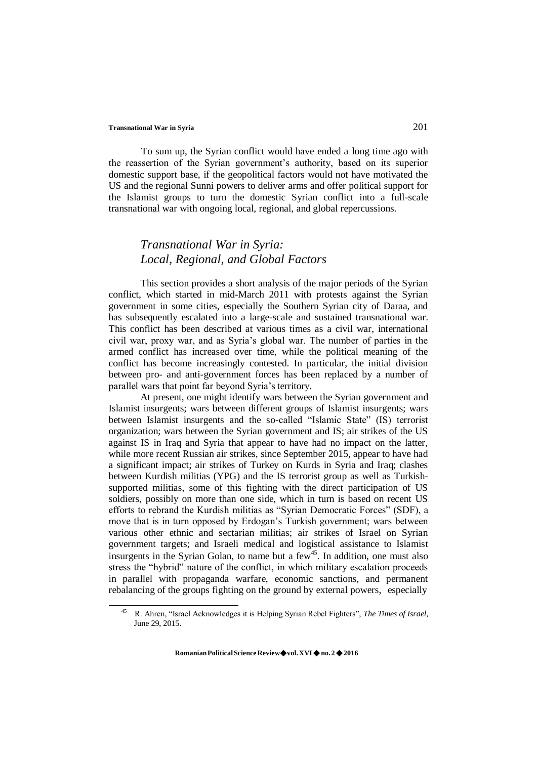To sum up, the Syrian conflict would have ended a long time ago with the reassertion of the Syrian government's authority, based on its superior domestic support base, if the geopolitical factors would not have motivated the US and the regional Sunni powers to deliver arms and offer political support for the Islamist groups to turn the domestic Syrian conflict into a full-scale transnational war with ongoing local, regional, and global repercussions.

## *Transnational War in Syria: Local, Regional, and Global Factors*

This section provides a short analysis of the major periods of the Syrian conflict, which started in mid-March 2011 with protests against the Syrian government in some cities, especially the Southern Syrian city of Daraa, and has subsequently escalated into a large-scale and sustained transnational war. This conflict has been described at various times as a civil war, international civil war, proxy war, and as Syria's global war. The number of parties in the armed conflict has increased over time, while the political meaning of the conflict has become increasingly contested. In particular, the initial division between pro- and anti-government forces has been replaced by a number of parallel wars that point far beyond Syria's territory.

At present, one might identify wars between the Syrian government and Islamist insurgents; wars between different groups of Islamist insurgents; wars between Islamist insurgents and the so-called "Islamic State" (IS) terrorist organization; wars between the Syrian government and IS; air strikes of the US against IS in Iraq and Syria that appear to have had no impact on the latter, while more recent Russian air strikes, since September 2015, appear to have had a significant impact; air strikes of Turkey on Kurds in Syria and Iraq; clashes between Kurdish militias (YPG) and the IS terrorist group as well as Turkishsupported militias, some of this fighting with the direct participation of US soldiers, possibly on more than one side, which in turn is based on recent US efforts to rebrand the Kurdish militias as "Syrian Democratic Forces" (SDF), a move that is in turn opposed by Erdogan's Turkish government; wars between various other ethnic and sectarian militias; air strikes of Israel on Syrian government targets; and Israeli medical and logistical assistance to Islamist insurgents in the Syrian Golan, to name but a  $f{few}^{45}$ . In addition, one must also stress the "hybrid" nature of the conflict, in which military escalation proceeds in parallel with propaganda warfare, economic sanctions, and permanent rebalancing of the groups fighting on the ground by external powers, especially

<sup>45</sup>R. Ahren, "Israel Acknowledges it is Helping Syrian Rebel Fighters", *The Times of Israel*, June 29, 2015.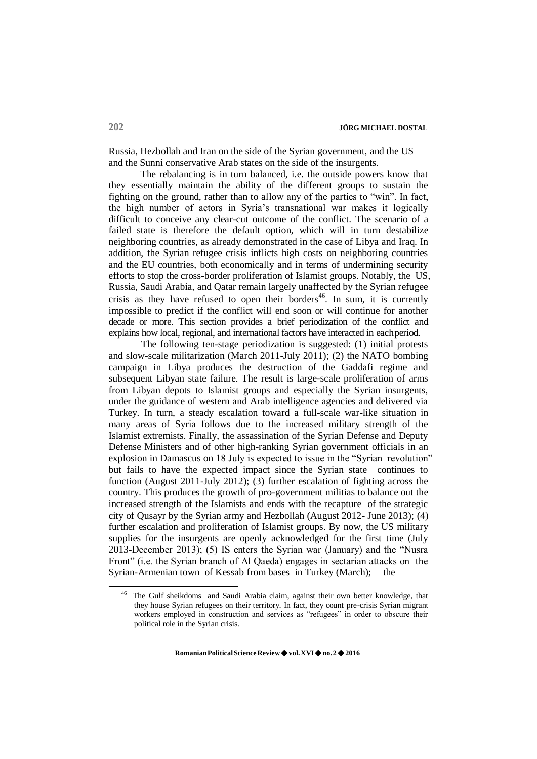Russia, Hezbollah and Iran on the side of the Syrian government, and the US and the Sunni conservative Arab states on the side of the insurgents.

The rebalancing is in turn balanced, i.e. the outside powers know that they essentially maintain the ability of the different groups to sustain the fighting on the ground, rather than to allow any of the parties to "win". In fact, the high number of actors in Syria's transnational war makes it logically difficult to conceive any clear-cut outcome of the conflict. The scenario of a failed state is therefore the default option, which will in turn destabilize neighboring countries, as already demonstrated in the case of Libya and Iraq. In addition, the Syrian refugee crisis inflicts high costs on neighboring countries and the EU countries, both economically and in terms of undermining security efforts to stop the cross-border proliferation of Islamist groups. Notably, the US, Russia, Saudi Arabia, and Qatar remain largely unaffected by the Syrian refugee crisis as they have refused to open their borders<sup>46</sup>. In sum, it is currently impossible to predict if the conflict will end soon or will continue for another decade or more. This section provides a brief periodization of the conflict and explains how local, regional, and international factors have interacted in eachperiod.

The following ten-stage periodization is suggested: (1) initial protests and slow-scale militarization (March 2011-July 2011); (2) the NATO bombing campaign in Libya produces the destruction of the Gaddafi regime and subsequent Libyan state failure. The result is large-scale proliferation of arms from Libyan depots to Islamist groups and especially the Syrian insurgents, under the guidance of western and Arab intelligence agencies and delivered via Turkey. In turn, a steady escalation toward a full-scale war-like situation in many areas of Syria follows due to the increased military strength of the Islamist extremists. Finally, the assassination of the Syrian Defense and Deputy Defense Ministers and of other high-ranking Syrian government officials in an explosion in Damascus on 18 July is expected to issue in the "Syrian revolution" but fails to have the expected impact since the Syrian state continues to function (August 2011-July 2012); (3) further escalation of fighting across the country. This produces the growth of pro-government militias to balance out the increased strength of the Islamists and ends with the recapture of the strategic city of Qusayr by the Syrian army and Hezbollah (August 2012- June 2013); (4) further escalation and proliferation of Islamist groups. By now, the US military supplies for the insurgents are openly acknowledged for the first time (July 2013-December 2013); (5) IS enters the Syrian war (January) and the "Nusra Front" (i.e. the Syrian branch of Al Qaeda) engages in sectarian attacks on the Syrian-Armenian town of Kessab from bases in Turkey (March); the

The Gulf sheikdoms and Saudi Arabia claim, against their own better knowledge, that they house Syrian refugees on their territory. In fact, they count pre-crisis Syrian migrant workers employed in construction and services as "refugees" in order to obscure their political role in the Syrian crisis.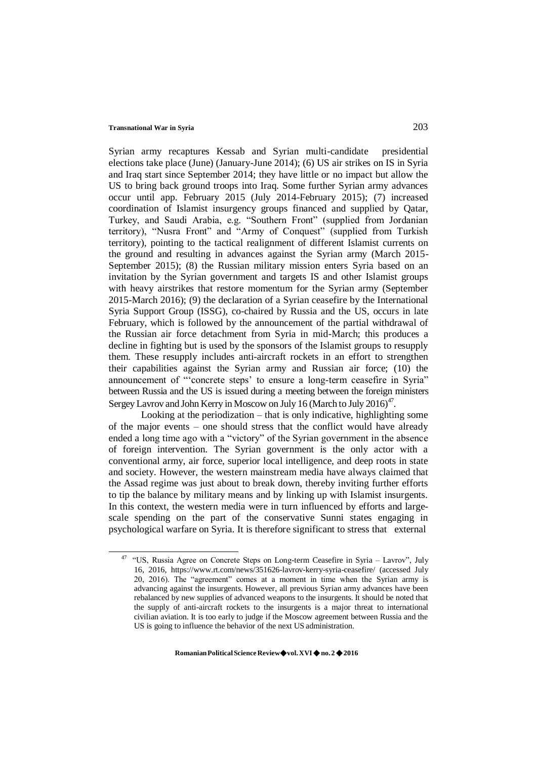Syrian army recaptures Kessab and Syrian multi-candidate presidential elections take place (June) (January-June 2014); (6) US air strikes on IS in Syria and Iraq start since September 2014; they have little or no impact but allow the US to bring back ground troops into Iraq. Some further Syrian army advances occur until app. February 2015 (July 2014-February 2015); (7) increased coordination of Islamist insurgency groups financed and supplied by Qatar, Turkey, and Saudi Arabia, e.g. "Southern Front" (supplied from Jordanian territory), "Nusra Front" and "Army of Conquest" (supplied from Turkish territory), pointing to the tactical realignment of different Islamist currents on the ground and resulting in advances against the Syrian army (March 2015- September 2015); (8) the Russian military mission enters Syria based on an invitation by the Syrian government and targets IS and other Islamist groups with heavy airstrikes that restore momentum for the Syrian army (September 2015-March 2016); (9) the declaration of a Syrian ceasefire by the International Syria Support Group (ISSG), co-chaired by Russia and the US, occurs in late February, which is followed by the announcement of the partial withdrawal of the Russian air force detachment from Syria in mid-March; this produces a decline in fighting but is used by the sponsors of the Islamist groups to resupply them. These resupply includes anti-aircraft rockets in an effort to strengthen their capabilities against the Syrian army and Russian air force; (10) the announcement of "'concrete steps' to ensure a long-term ceasefire in Syria" between Russia and the US is issued during a meeting between the foreign ministers Sergey Lavrov and John Kerry in Moscow on July 16 (March to July 2016) $4^7$ .

Looking at the periodization – that is only indicative, highlighting some of the major events – one should stress that the conflict would have already ended a long time ago with a "victory" of the Syrian government in the absence of foreign intervention. The Syrian government is the only actor with a conventional army, air force, superior local intelligence, and deep roots in state and society. However, the western mainstream media have always claimed that the Assad regime was just about to break down, thereby inviting further efforts to tip the balance by military means and by linking up with Islamist insurgents. In this context, the western media were in turn influenced by efforts and largescale spending on the part of the conservative Sunni states engaging in psychological warfare on Syria. It is therefore significant to stress that external

<sup>&</sup>lt;sup>47</sup> "US, Russia Agree on Concrete Steps on Long-term Ceasefire in Syria – Lavrov", July 16, 2016, http[s://www.rt.com/news/351626-lavrov-kerry-syria-ceasefire/](http://www.rt.com/news/351626-lavrov-kerry-syria-ceasefire/) (accessed July 20, 2016). The "agreement" comes at a moment in time when the Syrian army is advancing against the insurgents. However, all previous Syrian army advances have been rebalanced by new supplies of advanced weapons to the insurgents. It should be noted that the supply of anti-aircraft rockets to the insurgents is a major threat to international civilian aviation. It is too early to judge if the Moscow agreement between Russia and the US is going to influence the behavior of the next US administration.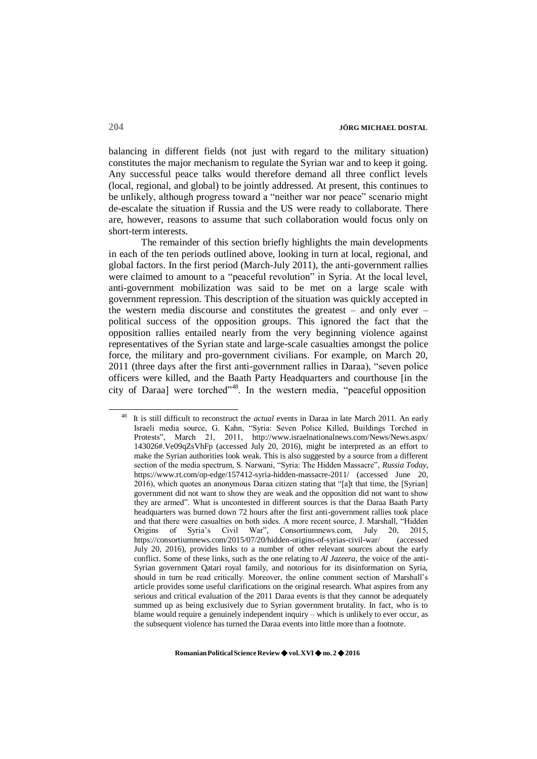balancing in different fields (not just with regard to the military situation) constitutes the major mechanism to regulate the Syrian war and to keep it going. Any successful peace talks would therefore demand all three conflict levels (local, regional, and global) to be jointly addressed. At present, this continues to be unlikely, although progress toward a "neither war nor peace" scenario might de-escalate the situation if Russia and the US were ready to collaborate. There are, however, reasons to assume that such collaboration would focus only on short-term interests.

The remainder of this section briefly highlights the main developments in each of the ten periods outlined above, looking in turn at local, regional, and global factors. In the first period (March-July 2011), the anti-government rallies were claimed to amount to a "peaceful revolution" in Syria. At the local level, anti-government mobilization was said to be met on a large scale with government repression. This description of the situation was quickly accepted in the western media discourse and constitutes the greatest – and only ever – political success of the opposition groups. This ignored the fact that the opposition rallies entailed nearly from the very beginning violence against representatives of the Syrian state and large-scale casualties amongst the police force, the military and pro-government civilians. For example, on March 20, 2011 (three days after the first anti-government rallies in Daraa), "seven police officers were killed, and the Baath Party Headquarters and courthouse [in the city of Daraa] were torched<sup>748</sup>. In the western media, "peaceful opposition"

<sup>48</sup>It is still difficult to reconstruct the *actual* events in Daraa in late March 2011. An early Israeli media source, G. Kahn, "Syria: Seven Police Killed, Buildings Torched in Protests", March 21, 2011, <http://www.israelnationalnews.com/News/News.aspx/> 143026#.Ve09qZsVhFp (accessed July 20, 2016), might be interpreted as an effort to make the Syrian authorities look weak. This is also suggested by a source from a different section of the media spectrum, S. Narwani, "Syria: The Hidden Massacre", *Russia Today*, https:[//www.rt.com/op-edge/157412-syria-hidden-massacre-2011/](http://www.rt.com/op-edge/157412-syria-hidden-massacre-2011/) (accessed June 20, 2016), which quotes an anonymous Daraa citizen stating that "[a]t that time, the [Syrian] government did not want to show they are weak and the opposition did not want to show they are armed". What is uncontested in different sources is that the Daraa Baath Party headquarters was burned down 72 hours after the first anti-government rallies took place and that there were casualties on both sides. A more recent source, J. Marshall, "Hidden Origins of Syria's Civil War", Consortiumnews.com, July 20, 2015, https://consortiumnews.com/2015/07/20/hidden-origins-of-syrias-civil-war/ (accessed July 20, 2016), provides links to a number of other relevant sources about the early conflict. Some of these links, such as the one relating to *Al Jazeera*, the voice of the anti-Syrian government Qatari royal family, and notorious for its disinformation on Syria, should in turn be read critically. Moreover, the online comment section of Marshall's article provides some useful clarifications on the original research. What aspires from any serious and critical evaluation of the 2011 Daraa events is that they cannot be adequately summed up as being exclusively due to Syrian government brutality. In fact, who is to blame would require a genuinely independent inquiry – which is unlikely to ever occur, as the subsequent violence has turned the Daraa events into little more than a footnote.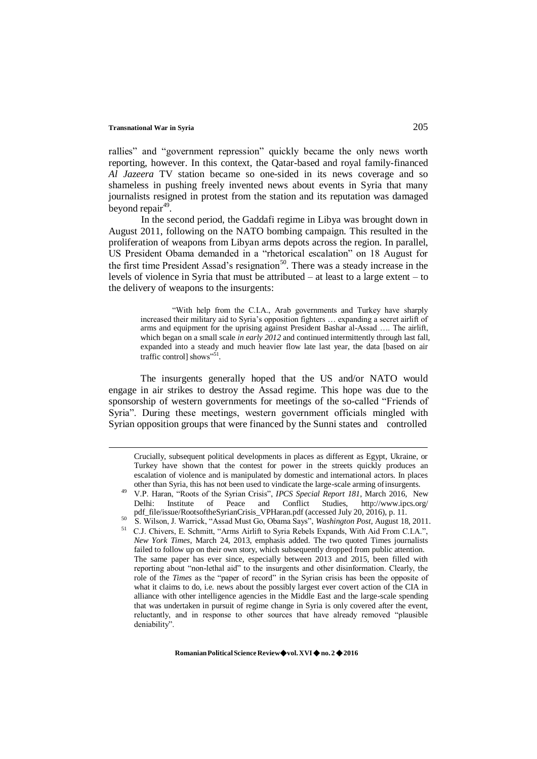rallies" and "government repression" quickly became the only news worth reporting, however. In this context, the Qatar-based and royal family-financed *Al Jazeera* TV station became so one-sided in its news coverage and so shameless in pushing freely invented news about events in Syria that many journalists resigned in protest from the station and its reputation was damaged beyond repair<sup>49</sup>.

In the second period, the Gaddafi regime in Libya was brought down in August 2011, following on the NATO bombing campaign. This resulted in the proliferation of weapons from Libyan arms depots across the region. In parallel, US President Obama demanded in a "rhetorical escalation" on 18 August for the first time President Assad's resignation<sup>50</sup>. There was a steady increase in the levels of violence in Syria that must be attributed – at least to a large extent – to the delivery of weapons to the insurgents:

"With help from the C.I.A., Arab governments and Turkey have sharply increased their military aid to Syria's opposition fighters … expanding a secret airlift of arms and equipment for the uprising against President Bashar al-Assad …. The airlift, which began on a small scale *in early 2012* and continued intermittently through last fall, expanded into a steady and much heavier flow late last year, the data [based on air traffic control] shows"<sup>51</sup>.

The insurgents generally hoped that the US and/or NATO would engage in air strikes to destroy the Assad regime. This hope was due to the sponsorship of western governments for meetings of the so-called "Friends of Syria". During these meetings, western government officials mingled with Syrian opposition groups that were financed by the Sunni states and controlled

Crucially, subsequent political developments in places as different as Egypt, Ukraine, or Turkey have shown that the contest for power in the streets quickly produces an escalation of violence and is manipulated by domestic and international actors. In places other than Syria, this has not been used to vindicate the large-scale arming ofinsurgents.

<sup>49</sup>V.P. Haran, "Roots of the Syrian Crisis", *IPCS Special Report 181*, March 2016, New Delhi: Institute of Peace and Conflict Studies, <http://www.ipcs.org/> pdf\_file/issue/RootsoftheSyrianCrisis\_VPHaran.pdf (accessed July 20, 2016), p. 11.

<sup>50</sup>S. Wilson, J. Warrick, "Assad Must Go, Obama Says", *Washington Post*, August 18, 2011.

<sup>&</sup>lt;sup>51</sup> C.J. Chivers, E. Schmitt, "Arms Airlift to Syria Rebels Expands, With Aid From C.I.A.", *New York Times*, March 24, 2013, emphasis added. The two quoted Times journalists failed to follow up on their own story, which subsequently dropped from public attention. The same paper has ever since, especially between 2013 and 2015, been filled with reporting about "non-lethal aid" to the insurgents and other disinformation. Clearly, the role of the *Times* as the "paper of record" in the Syrian crisis has been the opposite of what it claims to do, i.e. news about the possibly largest ever covert action of the CIA in alliance with other intelligence agencies in the Middle East and the large-scale spending that was undertaken in pursuit of regime change in Syria is only covered after the event, reluctantly, and in response to other sources that have already removed "plausible deniability".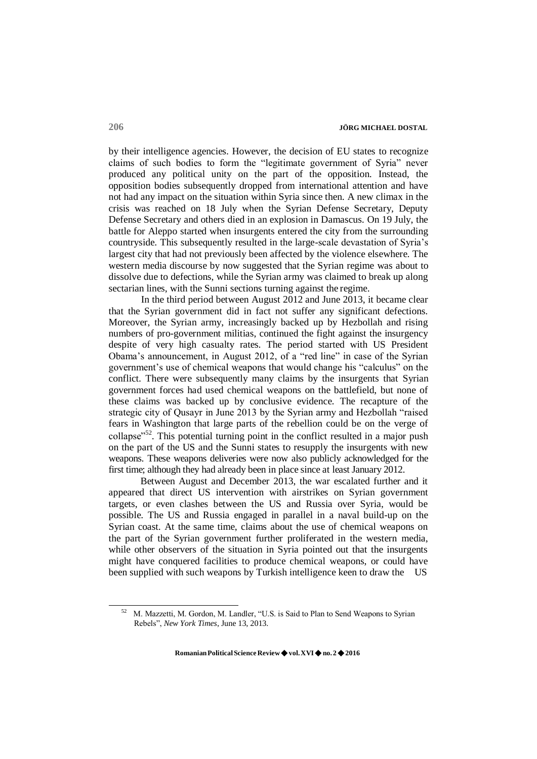by their intelligence agencies. However, the decision of EU states to recognize claims of such bodies to form the "legitimate government of Syria" never produced any political unity on the part of the opposition. Instead, the opposition bodies subsequently dropped from international attention and have not had any impact on the situation within Syria since then. A new climax in the crisis was reached on 18 July when the Syrian Defense Secretary, Deputy Defense Secretary and others died in an explosion in Damascus. On 19 July, the battle for Aleppo started when insurgents entered the city from the surrounding countryside. This subsequently resulted in the large-scale devastation of Syria's largest city that had not previously been affected by the violence elsewhere. The western media discourse by now suggested that the Syrian regime was about to dissolve due to defections, while the Syrian army was claimed to break up along sectarian lines, with the Sunni sections turning against the regime.

In the third period between August 2012 and June 2013, it became clear that the Syrian government did in fact not suffer any significant defections. Moreover, the Syrian army, increasingly backed up by Hezbollah and rising numbers of pro-government militias, continued the fight against the insurgency despite of very high casualty rates. The period started with US President Obama's announcement, in August 2012, of a "red line" in case of the Syrian government's use of chemical weapons that would change his "calculus" on the conflict. There were subsequently many claims by the insurgents that Syrian government forces had used chemical weapons on the battlefield, but none of these claims was backed up by conclusive evidence. The recapture of the strategic city of Qusayr in June 2013 by the Syrian army and Hezbollah "raised fears in Washington that large parts of the rebellion could be on the verge of collapse<sup>"52</sup>. This potential turning point in the conflict resulted in a major push on the part of the US and the Sunni states to resupply the insurgents with new weapons. These weapons deliveries were now also publicly acknowledged for the first time; although they had already been in place since at least January 2012.

Between August and December 2013, the war escalated further and it appeared that direct US intervention with airstrikes on Syrian government targets, or even clashes between the US and Russia over Syria, would be possible. The US and Russia engaged in parallel in a naval build-up on the Syrian coast. At the same time, claims about the use of chemical weapons on the part of the Syrian government further proliferated in the western media, while other observers of the situation in Syria pointed out that the insurgents might have conquered facilities to produce chemical weapons, or could have been supplied with such weapons by Turkish intelligence keen to draw the US

<sup>52</sup>M. Mazzetti, M. Gordon, M. Landler, "U.S. is Said to Plan to Send Weapons to Syrian Rebels", *New York Times*, June 13, 2013.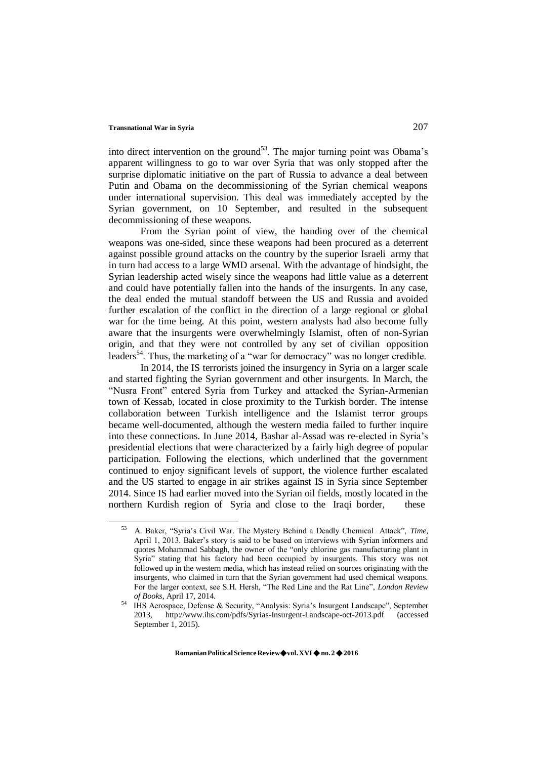into direct intervention on the ground<sup>53</sup>. The major turning point was Obama's apparent willingness to go to war over Syria that was only stopped after the surprise diplomatic initiative on the part of Russia to advance a deal between Putin and Obama on the decommissioning of the Syrian chemical weapons under international supervision. This deal was immediately accepted by the Syrian government, on 10 September, and resulted in the subsequent decommissioning of these weapons.

From the Syrian point of view, the handing over of the chemical weapons was one-sided, since these weapons had been procured as a deterrent against possible ground attacks on the country by the superior Israeli army that in turn had access to a large WMD arsenal. With the advantage of hindsight, the Syrian leadership acted wisely since the weapons had little value as a deterrent and could have potentially fallen into the hands of the insurgents. In any case, the deal ended the mutual standoff between the US and Russia and avoided further escalation of the conflict in the direction of a large regional or global war for the time being. At this point, western analysts had also become fully aware that the insurgents were overwhelmingly Islamist, often of non-Syrian origin, and that they were not controlled by any set of civilian opposition leaders<sup>54</sup>. Thus, the marketing of a "war for democracy" was no longer credible.

In 2014, the IS terrorists joined the insurgency in Syria on a larger scale and started fighting the Syrian government and other insurgents. In March, the "Nusra Front" entered Syria from Turkey and attacked the Syrian-Armenian town of Kessab, located in close proximity to the Turkish border. The intense collaboration between Turkish intelligence and the Islamist terror groups became well-documented, although the western media failed to further inquire into these connections. In June 2014, Bashar al-Assad was re-elected in Syria's presidential elections that were characterized by a fairly high degree of popular participation. Following the elections, which underlined that the government continued to enjoy significant levels of support, the violence further escalated and the US started to engage in air strikes against IS in Syria since September 2014. Since IS had earlier moved into the Syrian oil fields, mostly located in the northern Kurdish region of Syria and close to the Iraqi border, these

<sup>53</sup>A. Baker, "Syria's Civil War. The Mystery Behind a Deadly Chemical Attack", *Time*, April 1, 2013. Baker's story is said to be based on interviews with Syrian informers and quotes Mohammad Sabbagh, the owner of the "only chlorine gas manufacturing plant in Syria" stating that his factory had been occupied by insurgents. This story was not followed up in the western media, which has instead relied on sources originating with the insurgents, who claimed in turn that the Syrian government had used chemical weapons. For the larger context, see S.H. Hersh, "The Red Line and the Rat Line", *London Review of Books*, April 17, 2014.

<sup>&</sup>lt;sup>54</sup> IHS Aerospace, Defense & Security, "Analysis: Syria's Insurgent Landscape", September 2013, <http://www.ihs.com/pdfs/Syrias-Insurgent-Landscape-oct-2013.pdf> (accessed September 1, 2015).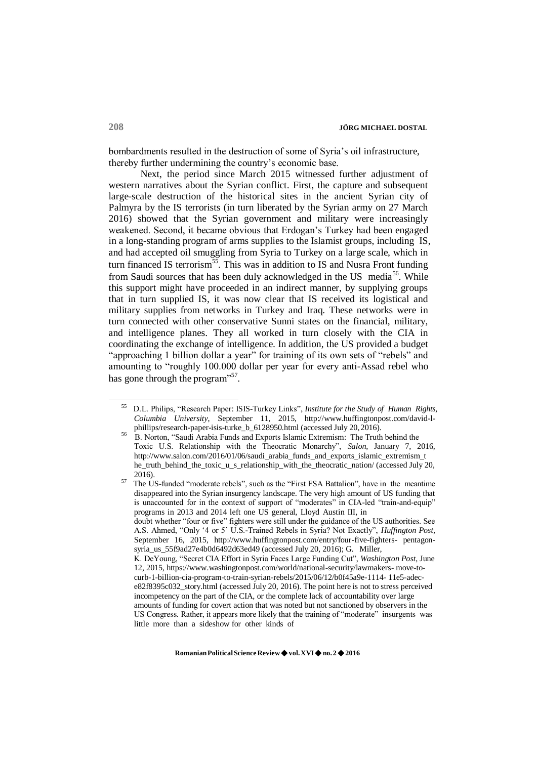bombardments resulted in the destruction of some of Syria's oil infrastructure, thereby further undermining the country's economic base.

Next, the period since March 2015 witnessed further adjustment of western narratives about the Syrian conflict. First, the capture and subsequent large-scale destruction of the historical sites in the ancient Syrian city of Palmyra by the IS terrorists (in turn liberated by the Syrian army on 27 March 2016) showed that the Syrian government and military were increasingly weakened. Second, it became obvious that Erdogan's Turkey had been engaged in a long-standing program of arms supplies to the Islamist groups, including IS, and had accepted oil smuggling from Syria to Turkey on a large scale, which in turn financed IS terrorism<sup>55</sup>. This was in addition to IS and Nusra Front funding from Saudi sources that has been duly acknowledged in the US media<sup>56</sup>. While this support might have proceeded in an indirect manner, by supplying groups that in turn supplied IS, it was now clear that IS received its logistical and military supplies from networks in Turkey and Iraq. These networks were in turn connected with other conservative Sunni states on the financial, military, and intelligence planes. They all worked in turn closely with the CIA in coordinating the exchange of intelligence. In addition, the US provided a budget "approaching 1 billion dollar a year" for training of its own sets of "rebels" and amounting to "roughly 100.000 dollar per year for every anti-Assad rebel who has gone through the program"<sup>57</sup>.

<sup>55</sup>D.L. Philips, "Research Paper: ISIS-Turkey Links", *Institute for the Study of Human Rights, Columbia University*, September 11, 2015, [http://www.huffingtonpost.com/david-l](http://www.huffingtonpost.com/david-)phillips/research-paper-isis-turke\_b\_6128950.html (accessed July 20, 2016).

<sup>56</sup>B. Norton, "Saudi Arabia Funds and Exports Islamic Extremism: The Truth behind the Toxic U.S. Relationship with the Theocratic Monarchy", *Salon*, January 7, 2016, [http://www.salon.com/2016/01/06/saudi\\_arabia\\_funds\\_and\\_exports\\_islamic\\_extremism\\_t](http://www.salon.com/2016/01/06/saudi_arabia_funds_and_exports_islamic_extremism_t) he\_truth\_behind\_the\_toxic\_u\_s\_relationship\_with\_the\_theocratic\_nation/ (accessed July 20, 2016).

 $57$  The US-funded "moderate rebels", such as the "First FSA Battalion", have in the meantime disappeared into the Syrian insurgency landscape. The very high amount of US funding that is unaccounted for in the context of support of "moderates" in CIA-led "train-and-equip" programs in 2013 and 2014 left one US general, Lloyd Austin III, in doubt whether "four or five" fighters were still under the guidance of the US authorities. See A.S. Ahmed, "Only '4 or 5' U.S.-Trained Rebels in Syria? Not Exactly", *Huffington Post*, September 16, 2015, <http://www.huffingtonpost.com/entry/four-five-fighters-> pentagonsyria\_us\_55f9ad27e4b0d6492d63ed49 (accessed July 20, 2016); G. Miller, K. DeYoung, "Secret CIA Effort in Syria Faces Large Funding Cut", *Washington Post*, June 12, 2015, http[s://www.washingtonpost.com/world/national-security/lawmakers-](http://www.washingtonpost.com/world/national-security/lawmakers-) move-tocurb-1-billion-cia-program-to-train-syrian-rebels/2015/06/12/b0f45a9e-1114- 11e5-adece82f8395c032\_story.html (accessed July 20, 2016). The point here is not to stress perceived incompetency on the part of the CIA, or the complete lack of accountability over large amounts of funding for covert action that was noted but not sanctioned by observers in the US Congress. Rather, it appears more likely that the training of "moderate" insurgents was little more than a sideshow for other kinds of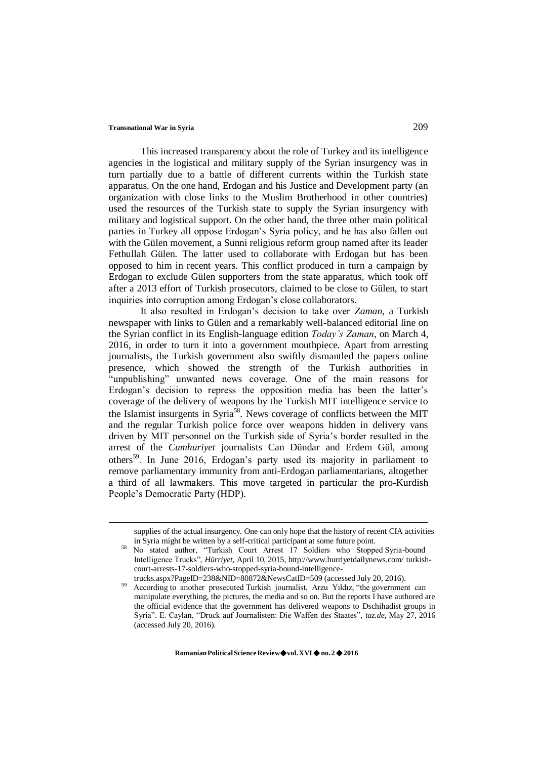This increased transparency about the role of Turkey and its intelligence agencies in the logistical and military supply of the Syrian insurgency was in turn partially due to a battle of different currents within the Turkish state apparatus. On the one hand, Erdogan and his Justice and Development party (an organization with close links to the Muslim Brotherhood in other countries) used the resources of the Turkish state to supply the Syrian insurgency with military and logistical support. On the other hand, the three other main political parties in Turkey all oppose Erdogan's Syria policy, and he has also fallen out with the Gülen movement, a Sunni religious reform group named after its leader Fethullah Gülen. The latter used to collaborate with Erdogan but has been opposed to him in recent years. This conflict produced in turn a campaign by Erdogan to exclude Gülen supporters from the state apparatus, which took off after a 2013 effort of Turkish prosecutors, claimed to be close to Gülen, to start inquiries into corruption among Erdogan's close collaborators.

It also resulted in Erdogan's decision to take over *Zaman*, a Turkish newspaper with links to Gülen and a remarkably well-balanced editorial line on the Syrian conflict in its English-language edition *Today's Zaman*, on March 4, 2016, in order to turn it into a government mouthpiece. Apart from arresting journalists, the Turkish government also swiftly dismantled the papers online presence, which showed the strength of the Turkish authorities in "unpublishing" unwanted news coverage. One of the main reasons for Erdogan's decision to repress the opposition media has been the latter's coverage of the delivery of weapons by the Turkish MIT intelligence service to the Islamist insurgents in Syria<sup>58</sup>. News coverage of conflicts between the MIT and the regular Turkish police force over weapons hidden in delivery vans driven by MIT personnel on the Turkish side of Syria's border resulted in the arrest of the *Cumhuriyet* journalists Can Dündar and Erdem Gül, among others<sup>59</sup>. In June 2016, Erdogan's party used its majority in parliament to remove parliamentary immunity from anti-Erdogan parliamentarians, altogether a third of all lawmakers. This move targeted in particular the pro-Kurdish People's Democratic Party (HDP).

supplies of the actual insurgency. One can only hope that the history of recent CIA activities in Syria might be written by a self-critical participant at some future point.

<sup>&</sup>lt;sup>58</sup> No stated author, "Turkish Court Arrest 17 Soldiers who Stopped Syria-bound Intelligence Trucks", *Hürriyet*, April 10, 2015[, http://www.hurriyetdailynews.com/](http://www.hurriyetdailynews.com/) turkishcourt-arrests-17-soldiers-who-stopped-syria-bound-intelligencetrucks.aspx?PageID=238&NID=80872&NewsCatID=509 (accessed July 20, 2016).

According to another prosecuted Turkish journalist, Arzu Yıldız, "the government can manipulate everything, the pictures, the media and so on. But the reports I have authored are the official evidence that the government has delivered weapons to Dschihadist groups in

Syria". E. Caylan, "Druck auf Journalisten: Die Waffen des Staates", *taz.de*, May 27, 2016 (accessed July 20, 2016).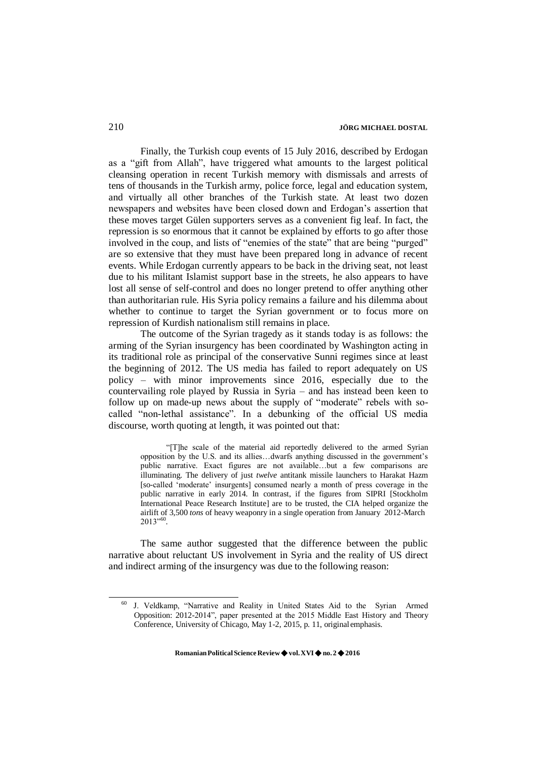Finally, the Turkish coup events of 15 July 2016, described by Erdogan as a "gift from Allah", have triggered what amounts to the largest political cleansing operation in recent Turkish memory with dismissals and arrests of tens of thousands in the Turkish army, police force, legal and education system, and virtually all other branches of the Turkish state. At least two dozen newspapers and websites have been closed down and Erdogan's assertion that these moves target Gülen supporters serves as a convenient fig leaf. In fact, the repression is so enormous that it cannot be explained by efforts to go after those involved in the coup, and lists of "enemies of the state" that are being "purged" are so extensive that they must have been prepared long in advance of recent events. While Erdogan currently appears to be back in the driving seat, not least due to his militant Islamist support base in the streets, he also appears to have lost all sense of self-control and does no longer pretend to offer anything other than authoritarian rule. His Syria policy remains a failure and his dilemma about whether to continue to target the Syrian government or to focus more on repression of Kurdish nationalism still remains in place.

The outcome of the Syrian tragedy as it stands today is as follows: the arming of the Syrian insurgency has been coordinated by Washington acting in its traditional role as principal of the conservative Sunni regimes since at least the beginning of 2012. The US media has failed to report adequately on US policy – with minor improvements since 2016, especially due to the countervailing role played by Russia in Syria – and has instead been keen to follow up on made-up news about the supply of "moderate" rebels with socalled "non-lethal assistance". In a debunking of the official US media discourse, worth quoting at length, it was pointed out that:

"[T]he scale of the material aid reportedly delivered to the armed Syrian opposition by the U.S. and its allies…dwarfs anything discussed in the government's public narrative. Exact figures are not available…but a few comparisons are illuminating. The delivery of just *twelve* antitank missile launchers to Harakat Hazm [so-called 'moderate' insurgents] consumed nearly a month of press coverage in the public narrative in early 2014. In contrast, if the figures from SIPRI [Stockholm International Peace Research Institute] are to be trusted, the CIA helped organize the airlift of 3,500 *tons* of heavy weaponry in a single operation from January 2012-March 2013"<sup>60</sup> .

The same author suggested that the difference between the public narrative about reluctant US involvement in Syria and the reality of US direct and indirect arming of the insurgency was due to the following reason:

<sup>60</sup>J. Veldkamp, "Narrative and Reality in United States Aid to the Syrian Armed Opposition: 2012-2014", paper presented at the 2015 Middle East History and Theory Conference, University of Chicago, May 1-2, 2015, p. 11, original emphasis.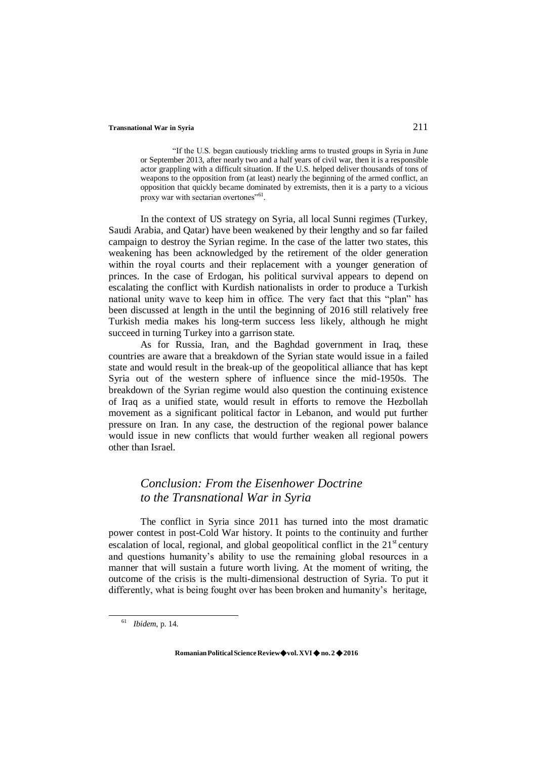"If the U.S. began cautiously trickling arms to trusted groups in Syria in June or September 2013, after nearly two and a half years of civil war, then it is a responsible actor grappling with a difficult situation. If the U.S. helped deliver thousands of tons of weapons to the opposition from (at least) nearly the beginning of the armed conflict, an opposition that quickly became dominated by extremists, then it is a party to a vicious proxy war with sectarian overtones"<sup>61</sup>.

In the context of US strategy on Syria, all local Sunni regimes (Turkey, Saudi Arabia, and Qatar) have been weakened by their lengthy and so far failed campaign to destroy the Syrian regime. In the case of the latter two states, this weakening has been acknowledged by the retirement of the older generation within the royal courts and their replacement with a younger generation of princes. In the case of Erdogan, his political survival appears to depend on escalating the conflict with Kurdish nationalists in order to produce a Turkish national unity wave to keep him in office. The very fact that this "plan" has been discussed at length in the until the beginning of 2016 still relatively free Turkish media makes his long-term success less likely, although he might succeed in turning Turkey into a garrison state.

As for Russia, Iran, and the Baghdad government in Iraq, these countries are aware that a breakdown of the Syrian state would issue in a failed state and would result in the break-up of the geopolitical alliance that has kept Syria out of the western sphere of influence since the mid-1950s. The breakdown of the Syrian regime would also question the continuing existence of Iraq as a unified state, would result in efforts to remove the Hezbollah movement as a significant political factor in Lebanon, and would put further pressure on Iran. In any case, the destruction of the regional power balance would issue in new conflicts that would further weaken all regional powers other than Israel.

## *Conclusion: From the Eisenhower Doctrine to the Transnational War in Syria*

The conflict in Syria since 2011 has turned into the most dramatic power contest in post-Cold War history. It points to the continuity and further escalation of local, regional, and global geopolitical conflict in the  $21<sup>st</sup>$  century and questions humanity's ability to use the remaining global resources in a manner that will sustain a future worth living. At the moment of writing, the outcome of the crisis is the multi-dimensional destruction of Syria. To put it differently, what is being fought over has been broken and humanity's heritage,

**RomanianPoliticalScienceReview**◆**vol.XVI**◆**no.2**◆**2016**

<sup>61</sup>*Ibidem*, p. 14.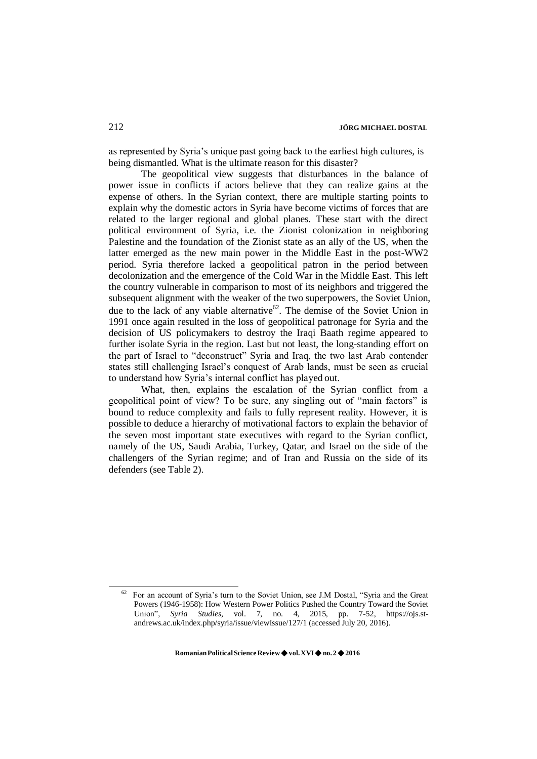as represented by Syria's unique past going back to the earliest high cultures, is being dismantled. What is the ultimate reason for this disaster?

The geopolitical view suggests that disturbances in the balance of power issue in conflicts if actors believe that they can realize gains at the expense of others. In the Syrian context, there are multiple starting points to explain why the domestic actors in Syria have become victims of forces that are related to the larger regional and global planes. These start with the direct political environment of Syria, i.e. the Zionist colonization in neighboring Palestine and the foundation of the Zionist state as an ally of the US, when the latter emerged as the new main power in the Middle East in the post-WW2 period. Syria therefore lacked a geopolitical patron in the period between decolonization and the emergence of the Cold War in the Middle East. This left the country vulnerable in comparison to most of its neighbors and triggered the subsequent alignment with the weaker of the two superpowers, the Soviet Union, due to the lack of any viable alternative<sup>62</sup>. The demise of the Soviet Union in 1991 once again resulted in the loss of geopolitical patronage for Syria and the decision of US policymakers to destroy the Iraqi Baath regime appeared to further isolate Syria in the region. Last but not least, the long-standing effort on the part of Israel to "deconstruct" Syria and Iraq, the two last Arab contender states still challenging Israel's conquest of Arab lands, must be seen as crucial to understand how Syria's internal conflict has played out.

What, then, explains the escalation of the Syrian conflict from a geopolitical point of view? To be sure, any singling out of "main factors" is bound to reduce complexity and fails to fully represent reality. However, it is possible to deduce a hierarchy of motivational factors to explain the behavior of the seven most important state executives with regard to the Syrian conflict, namely of the US, Saudi Arabia, Turkey, Qatar, and Israel on the side of the challengers of the Syrian regime; and of Iran and Russia on the side of its defenders (see Table 2).

<sup>62</sup>For an account of Syria's turn to the Soviet Union, see J.M Dostal, "Syria and the Great Powers (1946-1958): How Western Power Politics Pushed the Country Toward the Soviet Union", *Syria Studies*, vol. 7, no. 4, 2015, pp. 7-52, https://ojs.standrews.ac.uk/index.php/syria/issue/viewIssue/127/1 (accessed July 20, 2016).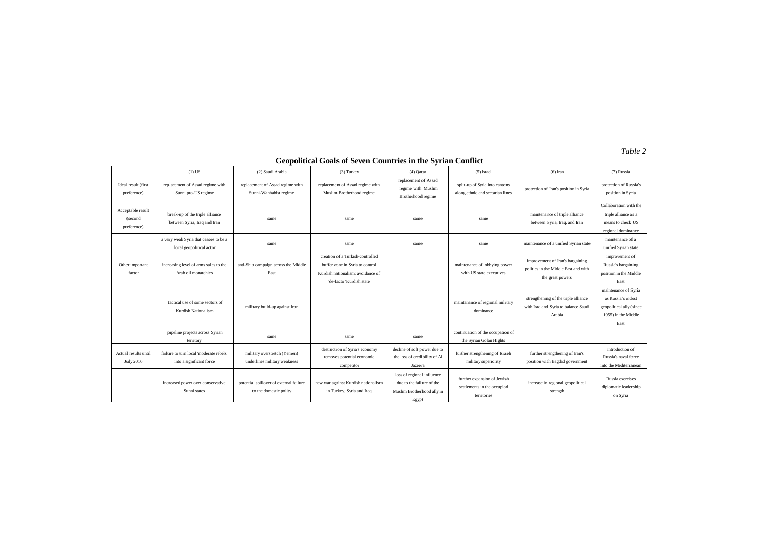*Table 2*

|                                             | $(1)$ US                                                            | (2) Saudi Arabia                                                  | $(3)$ Turkey                                                                                                                         | $(4)$ Qatar                                                                                    | $(5)$ Israel                                                              | $(6)$ Iran                                                                                   | (7) Russia                                                                                            |
|---------------------------------------------|---------------------------------------------------------------------|-------------------------------------------------------------------|--------------------------------------------------------------------------------------------------------------------------------------|------------------------------------------------------------------------------------------------|---------------------------------------------------------------------------|----------------------------------------------------------------------------------------------|-------------------------------------------------------------------------------------------------------|
| Ideal result (first<br>preference)          | replacement of Assad regime with<br>Sunni pro-US regime             | replacement of Assad regime with<br>Sunni-Wahhabist regime        | replacement of Assad regime with<br>Muslim Brotherhood regime                                                                        | replacement of Assad<br>regime with Muslim<br>Brotherhood regime                               | split-up of Syria into cantons<br>along ethnic and sectarian lines        | protection of Iran's position in Syria                                                       | protection of Russia's<br>position in Syria                                                           |
| Acceptable result<br>(second<br>preference) | break-up of the triple alliance<br>between Syria, Iraq and Iran     | same                                                              | same                                                                                                                                 | same                                                                                           | same                                                                      | maintenance of triple alliance<br>between Syria, Iraq, and Iran                              | Collaboration with the<br>triple alliance as a<br>means to check US<br>regional dominance             |
|                                             | a very weak Syria that ceases to be a<br>local geopolitical actor   | same                                                              | same                                                                                                                                 | same                                                                                           | same                                                                      | maintenance of a unified Syrian state                                                        | maintenance of a<br>unified Syrian state                                                              |
| Other important<br>factor                   | increasing level of arms sales to the<br>Arab oil monarchies        | anti-Shia campaign across the Middle<br>East                      | creation of a Turkish-controlled<br>buffer zone in Syria to control<br>Kurdish nationalism: avoidance of<br>'de-facto 'Kurdish state |                                                                                                | maintenance of lobbying power<br>with US state executives                 | improvement of Iran's bargaining<br>politics in the Middle East and with<br>the great powers | improvement of<br>Russia's bargaining<br>position in the Middle<br>East                               |
|                                             | tactical use of some sectors of<br>Kurdish Nationalism              | military build-up against Iran                                    |                                                                                                                                      |                                                                                                | maintanance of regional military<br>dominance                             | strengthening of the triple alliance<br>with Iraq and Syria to balance Saudi<br>Arabia       | maintenance of Syria<br>as Russia's oldest<br>geopolitical ally (since<br>1955) in the Middle<br>East |
|                                             | pipeline projects across Syrian<br>territory                        | same                                                              | same                                                                                                                                 | same                                                                                           | continuation of the occupation of<br>the Syrian Golan Hights              |                                                                                              |                                                                                                       |
| Actual results until<br>July 2016           | failure to turn local 'moderate rebels'<br>into a significant force | military overstretch (Yemen)<br>underlines military weakness      | destruction of Syria's economy<br>removes potential economic<br>competitor                                                           | decline of soft power due to<br>the loss of credibility of Al<br>Jazeera                       | further strengthening of Israeli<br>military superiority                  | further strengthening of Iran's<br>position with Bagdad government                           | introduction of<br>Russia's naval force<br>into the Mediterranean                                     |
|                                             | increased power over conservative<br>Sunni states                   | potential spillover of external failure<br>to the domestic polity | new war against Kurdish nationalism<br>in Turkey, Syria and Iraq                                                                     | loss of regional influence<br>due to the failure of the<br>Muslim Brotherhood ally in<br>Egypt | further expansion of Jewish<br>settlements in the occupied<br>territories | increase in regional geopolitical<br>strength                                                | Russia exercises<br>diplomatic leadership<br>on Syria                                                 |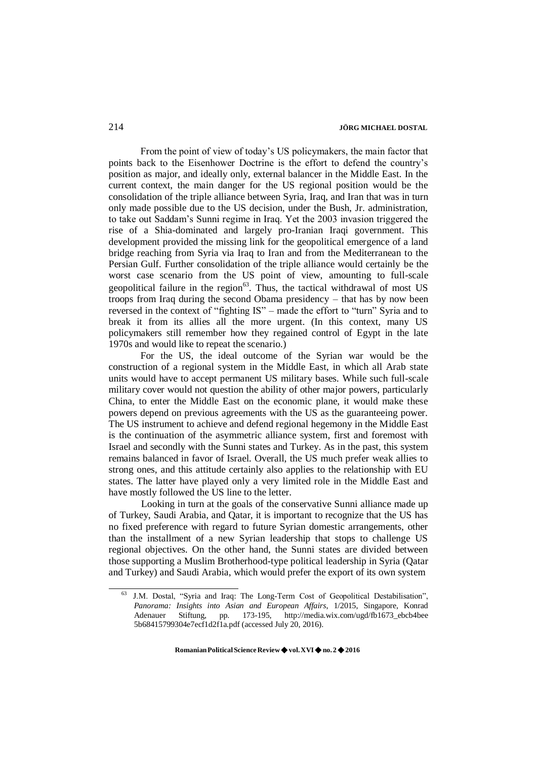From the point of view of today's US policymakers, the main factor that points back to the Eisenhower Doctrine is the effort to defend the country's position as major, and ideally only, external balancer in the Middle East. In the current context, the main danger for the US regional position would be the consolidation of the triple alliance between Syria, Iraq, and Iran that was in turn only made possible due to the US decision, under the Bush, Jr. administration, to take out Saddam's Sunni regime in Iraq. Yet the 2003 invasion triggered the rise of a Shia-dominated and largely pro-Iranian Iraqi government. This development provided the missing link for the geopolitical emergence of a land bridge reaching from Syria via Iraq to Iran and from the Mediterranean to the Persian Gulf. Further consolidation of the triple alliance would certainly be the worst case scenario from the US point of view, amounting to full-scale geopolitical failure in the region $63$ . Thus, the tactical withdrawal of most US troops from Iraq during the second Obama presidency – that has by now been reversed in the context of "fighting IS" – made the effort to "turn" Syria and to break it from its allies all the more urgent. (In this context, many US policymakers still remember how they regained control of Egypt in the late 1970s and would like to repeat the scenario.)

For the US, the ideal outcome of the Syrian war would be the construction of a regional system in the Middle East, in which all Arab state units would have to accept permanent US military bases. While such full-scale military cover would not question the ability of other major powers, particularly China, to enter the Middle East on the economic plane, it would make these powers depend on previous agreements with the US as the guaranteeing power. The US instrument to achieve and defend regional hegemony in the Middle East is the continuation of the asymmetric alliance system, first and foremost with Israel and secondly with the Sunni states and Turkey. As in the past, this system remains balanced in favor of Israel. Overall, the US much prefer weak allies to strong ones, and this attitude certainly also applies to the relationship with EU states. The latter have played only a very limited role in the Middle East and have mostly followed the US line to the letter.

Looking in turn at the goals of the conservative Sunni alliance made up of Turkey, Saudi Arabia, and Qatar, it is important to recognize that the US has no fixed preference with regard to future Syrian domestic arrangements, other than the installment of a new Syrian leadership that stops to challenge US regional objectives. On the other hand, the Sunni states are divided between those supporting a Muslim Brotherhood-type political leadership in Syria (Qatar and Turkey) and Saudi Arabia, which would prefer the export of its own system

J.M. Dostal, "Syria and Iraq: The Long-Term Cost of Geopolitical Destabilisation", *Panorama: Insights into Asian and European Affairs*, 1/2015, Singapore, Konrad Adenauer Stiftung, pp. 173-195, [http://media.wix.com/ugd/fb1673\\_ebcb4bee](http://media.wix.com/ugd/fb1673_ebcb4bee) 5b68415799304e7ecf1d2f1a.pdf (accessed July 20, 2016).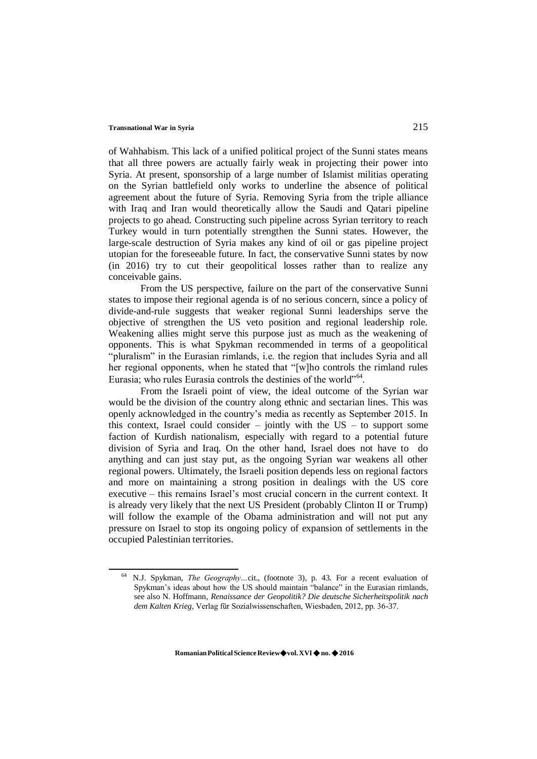of Wahhabism. This lack of a unified political project of the Sunni states means that all three powers are actually fairly weak in projecting their power into Syria. At present, sponsorship of a large number of Islamist militias operating on the Syrian battlefield only works to underline the absence of political agreement about the future of Syria. Removing Syria from the triple alliance with Iraq and Iran would theoretically allow the Saudi and Qatari pipeline projects to go ahead. Constructing such pipeline across Syrian territory to reach Turkey would in turn potentially strengthen the Sunni states. However, the large-scale destruction of Syria makes any kind of oil or gas pipeline project utopian for the foreseeable future. In fact, the conservative Sunni states by now (in 2016) try to cut their geopolitical losses rather than to realize any conceivable gains.

From the US perspective, failure on the part of the conservative Sunni states to impose their regional agenda is of no serious concern, since a policy of divide-and-rule suggests that weaker regional Sunni leaderships serve the objective of strengthen the US veto position and regional leadership role. Weakening allies might serve this purpose just as much as the weakening of opponents. This is what Spykman recommended in terms of a geopolitical "pluralism" in the Eurasian rimlands, i.e. the region that includes Syria and all her regional opponents, when he stated that "[w]ho controls the rimland rules Eurasia; who rules Eurasia controls the destinies of the world"<sup>64</sup>.

From the Israeli point of view, the ideal outcome of the Syrian war would be the division of the country along ethnic and sectarian lines. This was openly acknowledged in the country's media as recently as September 2015. In this context, Israel could consider  $-$  jointly with the US  $-$  to support some faction of Kurdish nationalism, especially with regard to a potential future division of Syria and Iraq. On the other hand, Israel does not have to do anything and can just stay put, as the ongoing Syrian war weakens all other regional powers. Ultimately, the Israeli position depends less on regional factors and more on maintaining a strong position in dealings with the US core executive – this remains Israel's most crucial concern in the current context. It is already very likely that the next US President (probably Clinton II or Trump) will follow the example of the Obama administration and will not put any pressure on Israel to stop its ongoing policy of expansion of settlements in the occupied Palestinian territories.

<sup>64</sup> N.J. Spykman, *The Geography…*cit., (footnote 3), p. 43. For a recent evaluation of Spykman's ideas about how the US should maintain "balance" in the Eurasian rimlands, see also N. Hoffmann, *Renaissance der Geopolitik? Die deutsche Sicherheitspolitik nach dem Kalten Krieg*, Verlag fūr Sozialwissenschaften, Wiesbaden, 2012, pp. 36-37.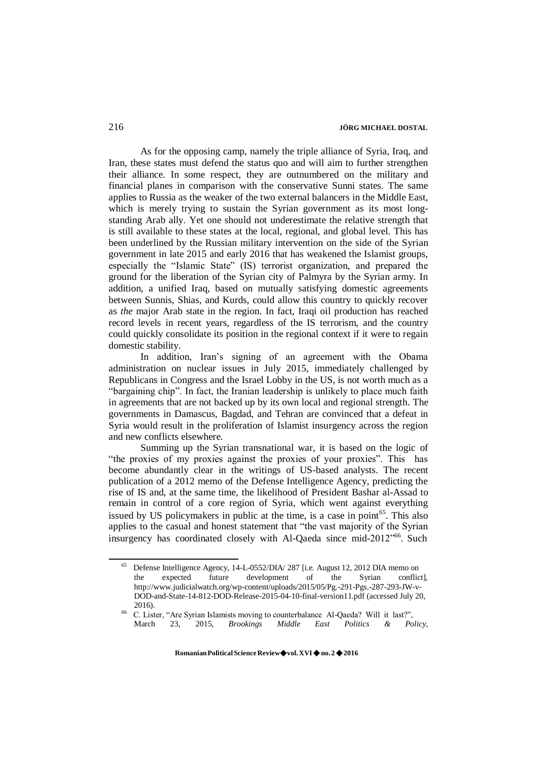As for the opposing camp, namely the triple alliance of Syria, Iraq, and Iran, these states must defend the status quo and will aim to further strengthen their alliance. In some respect, they are outnumbered on the military and financial planes in comparison with the conservative Sunni states. The same applies to Russia as the weaker of the two external balancers in the Middle East, which is merely trying to sustain the Syrian government as its most longstanding Arab ally. Yet one should not underestimate the relative strength that is still available to these states at the local, regional, and global level. This has been underlined by the Russian military intervention on the side of the Syrian government in late 2015 and early 2016 that has weakened the Islamist groups, especially the "Islamic State" (IS) terrorist organization, and prepared the ground for the liberation of the Syrian city of Palmyra by the Syrian army. In addition, a unified Iraq, based on mutually satisfying domestic agreements between Sunnis, Shias, and Kurds, could allow this country to quickly recover as *the* major Arab state in the region. In fact, Iraqi oil production has reached record levels in recent years, regardless of the IS terrorism, and the country could quickly consolidate its position in the regional context if it were to regain domestic stability.

In addition, Iran's signing of an agreement with the Obama administration on nuclear issues in July 2015, immediately challenged by Republicans in Congress and the Israel Lobby in the US, is not worth much as a "bargaining chip". In fact, the Iranian leadership is unlikely to place much faith in agreements that are not backed up by its own local and regional strength. The governments in Damascus, Bagdad, and Tehran are convinced that a defeat in Syria would result in the proliferation of Islamist insurgency across the region and new conflicts elsewhere.

Summing up the Syrian transnational war, it is based on the logic of "the proxies of my proxies against the proxies of your proxies". This has become abundantly clear in the writings of US-based analysts. The recent publication of a 2012 memo of the Defense Intelligence Agency, predicting the rise of IS and, at the same time, the likelihood of President Bashar al-Assad to remain in control of a core region of Syria, which went against everything issued by US policymakers in public at the time, is a case in point $^{65}$ . This also applies to the casual and honest statement that "the vast majority of the Syrian insurgency has coordinated closely with Al-Qaeda since mid-2012<sup>,66</sup>. Such

Defense Intelligence Agency, 14-L-0552/DIA/ 287 [i.e. August 12, 2012 DIA memo on the expected future development of the Syrian conflict the expected future development of the Syrian conflict], <http://www.judicialwatch.org/wp-content/uploads/2015/05/Pg.-291-Pgs.-287-293-JW-v->DOD-and-State-14-812-DOD-Release-2015-04-10-final-version11.pdf (accessed July 20, 2016).

<sup>&</sup>lt;sup>66</sup> C. Lister, "Are Syrian Islamists moving to counterbalance Al-Qaeda? Will it last?", March 23, 2015, *Brookings Middle East Politics & Policy*,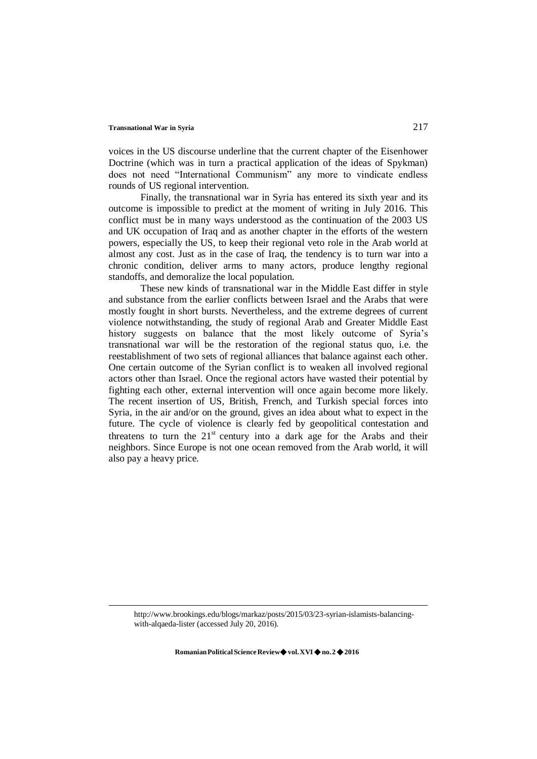voices in the US discourse underline that the current chapter of the Eisenhower Doctrine (which was in turn a practical application of the ideas of Spykman) does not need "International Communism" any more to vindicate endless rounds of US regional intervention.

Finally, the transnational war in Syria has entered its sixth year and its outcome is impossible to predict at the moment of writing in July 2016. This conflict must be in many ways understood as the continuation of the 2003 US and UK occupation of Iraq and as another chapter in the efforts of the western powers, especially the US, to keep their regional veto role in the Arab world at almost any cost. Just as in the case of Iraq, the tendency is to turn war into a chronic condition, deliver arms to many actors, produce lengthy regional standoffs, and demoralize the local population.

These new kinds of transnational war in the Middle East differ in style and substance from the earlier conflicts between Israel and the Arabs that were mostly fought in short bursts. Nevertheless, and the extreme degrees of current violence notwithstanding, the study of regional Arab and Greater Middle East history suggests on balance that the most likely outcome of Syria's transnational war will be the restoration of the regional status quo, i.e. the reestablishment of two sets of regional alliances that balance against each other. One certain outcome of the Syrian conflict is to weaken all involved regional actors other than Israel. Once the regional actors have wasted their potential by fighting each other, external intervention will once again become more likely. The recent insertion of US, British, French, and Turkish special forces into Syria, in the air and/or on the ground, gives an idea about what to expect in the future. The cycle of violence is clearly fed by geopolitical contestation and threatens to turn the  $21<sup>st</sup>$  century into a dark age for the Arabs and their neighbors. Since Europe is not one ocean removed from the Arab world, it will also pay a heavy price.

[http://www.brookings.edu/blogs/markaz/posts/2015/03/23-syrian-islamists-balancing](http://www.brookings.edu/blogs/markaz/posts/2015/03/23-syrian-islamists-balancing-)with-alqaeda-lister (accessed July 20, 2016).